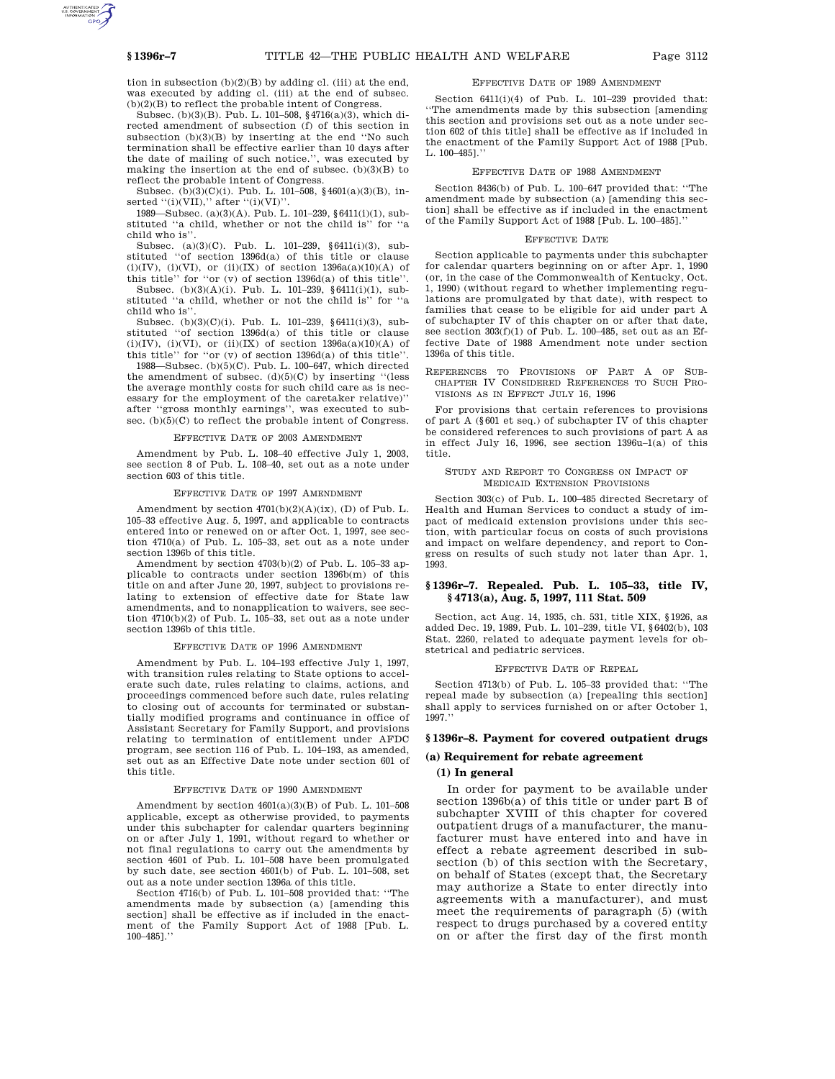tion in subsection (b)(2)(B) by adding cl. (iii) at the end, was executed by adding cl. (iii) at the end of subsec. (b)(2)(B) to reflect the probable intent of Congress.

Subsec. (b)(3)(B). Pub. L. 101–508, §4716(a)(3), which directed amendment of subsection (f) of this section in subsection (b)(3)(B) by inserting at the end ''No such termination shall be effective earlier than 10 days after the date of mailing of such notice.'', was executed by making the insertion at the end of subsec.  $(b)(3)(B)$  to reflect the probable intent of Congress.

Subsec. (b)(3)(C)(i). Pub. L. 101–508,  $\frac{64601(a)(3)(B)}{1}$ , inserted "(i)(VII)," after "(i)(VI)".

1989—Subsec. (a)(3)(A). Pub. L. 101–239, §6411(i)(1), substituted ''a child, whether or not the child is'' for ''a child who is''.

Subsec. (a)(3)(C). Pub. L. 101–239, §6411(i)(3), substituted ''of section 1396d(a) of this title or clause (i)(IV), (i)(VI), or (ii)(IX) of section  $1396a(a)(10)(A)$  of this title'' for ''or (v) of section 1396d(a) of this title''.

Subsec. (b)(3)(A)(i). Pub. L. 101–239, §6411(i)(1), substituted ''a child, whether or not the child is'' for ''a child who is''.

Subsec. (b)(3)(C)(i). Pub. L. 101–239, §6411(i)(3), substituted ''of section 1396d(a) of this title or clause (i)(IV), (i)(VI), or (ii)(IX) of section  $1396a(a)(10)(A)$  of this title'' for ''or (v) of section 1396d(a) of this title''.

1988—Subsec. (b)(5)(C). Pub. L. 100–647, which directed the amendment of subsec.  $(d)(5)(C)$  by inserting "(less the average monthly costs for such child care as is necessary for the employment of the caretaker relative)'' after ''gross monthly earnings'', was executed to subsec.  $(b)(5)(C)$  to reflect the probable intent of Congress.

#### EFFECTIVE DATE OF 2003 AMENDME

Amendment by Pub. L. 108–40 effective July 1, 2003, see section 8 of Pub. L. 108–40, set out as a note under section 603 of this title.

### EFFECTIVE DATE OF 1997 AMENDMENT

Amendment by section 4701(b)(2)(A)(ix), (D) of Pub. L. 105–33 effective Aug. 5, 1997, and applicable to contracts entered into or renewed on or after Oct. 1, 1997, see section 4710(a) of Pub. L. 105–33, set out as a note under section 1396b of this title.

Amendment by section 4703(b)(2) of Pub. L. 105–33 applicable to contracts under section 1396b(m) of this title on and after June 20, 1997, subject to provisions relating to extension of effective date for State law amendments, and to nonapplication to waivers, see section 4710(b)(2) of Pub. L. 105–33, set out as a note under section 1396b of this title.

#### EFFECTIVE DATE OF 1996 AMENDMENT

Amendment by Pub. L. 104–193 effective July 1, 1997, with transition rules relating to State options to accelerate such date, rules relating to claims, actions, and proceedings commenced before such date, rules relating to closing out of accounts for terminated or substantially modified programs and continuance in office of Assistant Secretary for Family Support, and provisions relating to termination of entitlement under AFDC program, see section 116 of Pub. L. 104–193, as amended, set out as an Effective Date note under section 601 of this title.

#### EFFECTIVE DATE OF 1990 AMENDMENT

Amendment by section  $4601(a)(3)(B)$  of Pub. L. 101-508 applicable, except as otherwise provided, to payments under this subchapter for calendar quarters beginning on or after July 1, 1991, without regard to whether or not final regulations to carry out the amendments by section 4601 of Pub. L. 101-508 have been promulgated by such date, see section 4601(b) of Pub. L. 101–508, set out as a note under section 1396a of this title.

Section 4716(b) of Pub. L. 101–508 provided that: ''The amendments made by subsection (a) [amending this section] shall be effective as if included in the enactment of the Family Support Act of 1988 [Pub. L. 100–485].''

## EFFECTIVE DATE OF 1989 AMENDMENT

Section 6411(i)(4) of Pub. L. 101–239 provided that: ''The amendments made by this subsection [amending this section and provisions set out as a note under section 602 of this title] shall be effective as if included in the enactment of the Family Support Act of 1988 [Pub. L. 100–485].''

### EFFECTIVE DATE OF 1988 AMENDMENT

Section 8436(b) of Pub. L. 100–647 provided that: ''The amendment made by subsection (a) [amending this section] shall be effective as if included in the enactment of the Family Support Act of 1988 [Pub. L. 100–485].''

#### EFFECTIVE DATE

Section applicable to payments under this subchapter for calendar quarters beginning on or after Apr. 1, 1990 (or, in the case of the Commonwealth of Kentucky, Oct. 1, 1990) (without regard to whether implementing regulations are promulgated by that date), with respect to families that cease to be eligible for aid under part A of subchapter IV of this chapter on or after that date, see section 303(f)(1) of Pub. L. 100–485, set out as an Effective Date of 1988 Amendment note under section 1396a of this title.

REFERENCES TO PROVISIONS OF PART A OF SUB-CHAPTER IV CONSIDERED REFERENCES TO SUCH PRO-VISIONS AS IN EFFECT JULY 16, 1996

For provisions that certain references to provisions of part A (§601 et seq.) of subchapter IV of this chapter be considered references to such provisions of part A as in effect July 16, 1996, see section 1396u–1(a) of this title.

#### STUDY AND REPORT TO CONGRESS ON IMPACT OF MEDICAID EXTENSION PROVISIONS

Section 303(c) of Pub. L. 100–485 directed Secretary of Health and Human Services to conduct a study of impact of medicaid extension provisions under this section, with particular focus on costs of such provisions and impact on welfare dependency, and report to Congress on results of such study not later than Apr. 1, 1993.

## **§ 1396r–7. Repealed. Pub. L. 105–33, title IV, § 4713(a), Aug. 5, 1997, 111 Stat. 509**

Section, act Aug. 14, 1935, ch. 531, title XIX, §1926, as added Dec. 19, 1989, Pub. L. 101–239, title VI, §6402(b), 103 Stat. 2260, related to adequate payment levels for obstetrical and pediatric services.

#### EFFECTIVE DATE OF REPEAL

Section 4713(b) of Pub. L. 105–33 provided that: ''The repeal made by subsection (a) [repealing this section] shall apply to services furnished on or after October 1, 1997.''

#### **§ 1396r–8. Payment for covered outpatient drugs**

#### **(a) Requirement for rebate agreement**

#### **(1) In general**

In order for payment to be available under section 1396b(a) of this title or under part B of subchapter XVIII of this chapter for covered outpatient drugs of a manufacturer, the manufacturer must have entered into and have in effect a rebate agreement described in subsection (b) of this section with the Secretary, on behalf of States (except that, the Secretary may authorize a State to enter directly into agreements with a manufacturer), and must meet the requirements of paragraph (5) (with respect to drugs purchased by a covered entity on or after the first day of the first month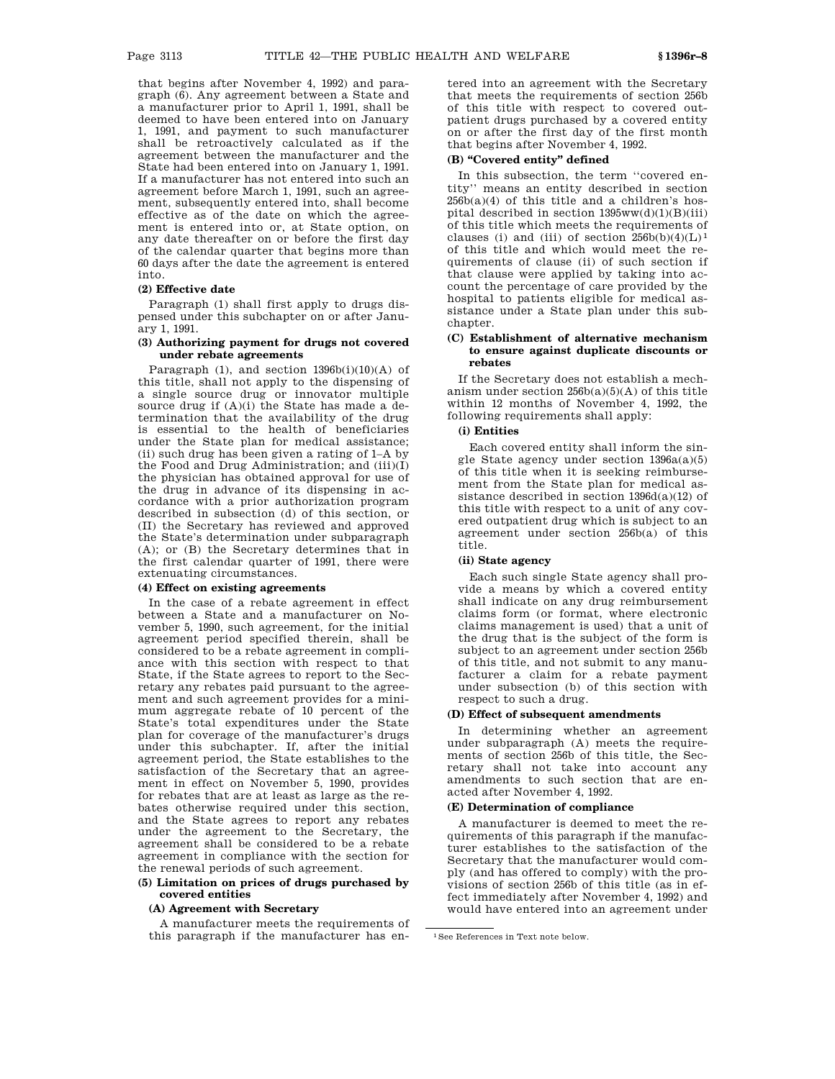that begins after November 4, 1992) and paragraph (6). Any agreement between a State and a manufacturer prior to April 1, 1991, shall be deemed to have been entered into on January 1, 1991, and payment to such manufacturer shall be retroactively calculated as if the agreement between the manufacturer and the State had been entered into on January 1, 1991. If a manufacturer has not entered into such an agreement before March 1, 1991, such an agreement, subsequently entered into, shall become effective as of the date on which the agreement is entered into or, at State option, on any date thereafter on or before the first day of the calendar quarter that begins more than 60 days after the date the agreement is entered into.

## **(2) Effective date**

Paragraph (1) shall first apply to drugs dispensed under this subchapter on or after January 1, 1991.

### **(3) Authorizing payment for drugs not covered under rebate agreements**

Paragraph (1), and section 1396b(i)(10)(A) of this title, shall not apply to the dispensing of a single source drug or innovator multiple source drug if (A)(i) the State has made a determination that the availability of the drug is essential to the health of beneficiaries under the State plan for medical assistance; (ii) such drug has been given a rating of 1–A by the Food and Drug Administration; and (iii)(I) the physician has obtained approval for use of the drug in advance of its dispensing in accordance with a prior authorization program described in subsection (d) of this section, or (II) the Secretary has reviewed and approved the State's determination under subparagraph (A); or (B) the Secretary determines that in the first calendar quarter of 1991, there were extenuating circumstances.

#### **(4) Effect on existing agreements**

In the case of a rebate agreement in effect between a State and a manufacturer on November 5, 1990, such agreement, for the initial agreement period specified therein, shall be considered to be a rebate agreement in compliance with this section with respect to that State, if the State agrees to report to the Secretary any rebates paid pursuant to the agreement and such agreement provides for a minimum aggregate rebate of 10 percent of the State's total expenditures under the State plan for coverage of the manufacturer's drugs under this subchapter. If, after the initial agreement period, the State establishes to the satisfaction of the Secretary that an agreement in effect on November 5, 1990, provides for rebates that are at least as large as the rebates otherwise required under this section, and the State agrees to report any rebates under the agreement to the Secretary, the agreement shall be considered to be a rebate agreement in compliance with the section for the renewal periods of such agreement.

## **(5) Limitation on prices of drugs purchased by covered entities**

### **(A) Agreement with Secretary**

A manufacturer meets the requirements of this paragraph if the manufacturer has entered into an agreement with the Secretary that meets the requirements of section 256b of this title with respect to covered outpatient drugs purchased by a covered entity on or after the first day of the first month that begins after November 4, 1992.

## **(B) ''Covered entity'' defined**

In this subsection, the term ''covered entity'' means an entity described in section  $256b(a)(4)$  of this title and a children's hospital described in section  $1395ww(d)(1)(B)(iii)$ of this title which meets the requirements of clauses (i) and (iii) of section  $256b(b)(4)(L)^1$ of this title and which would meet the requirements of clause (ii) of such section if that clause were applied by taking into account the percentage of care provided by the hospital to patients eligible for medical assistance under a State plan under this subchapter.

## **(C) Establishment of alternative mechanism to ensure against duplicate discounts or rebates**

If the Secretary does not establish a mechanism under section  $256b(a)(5)(A)$  of this title within 12 months of November 4, 1992, the following requirements shall apply:

### **(i) Entities**

Each covered entity shall inform the single State agency under section 1396a(a)(5) of this title when it is seeking reimbursement from the State plan for medical assistance described in section 1396d(a)(12) of this title with respect to a unit of any covered outpatient drug which is subject to an agreement under section 256b(a) of this title.

#### **(ii) State agency**

Each such single State agency shall provide a means by which a covered entity shall indicate on any drug reimbursement claims form (or format, where electronic claims management is used) that a unit of the drug that is the subject of the form is subject to an agreement under section 256b of this title, and not submit to any manufacturer a claim for a rebate payment under subsection (b) of this section with respect to such a drug.

#### **(D) Effect of subsequent amendments**

In determining whether an agreement under subparagraph (A) meets the requirements of section 256b of this title, the Secretary shall not take into account any amendments to such section that are enacted after November 4, 1992.

#### **(E) Determination of compliance**

A manufacturer is deemed to meet the requirements of this paragraph if the manufacturer establishes to the satisfaction of the Secretary that the manufacturer would comply (and has offered to comply) with the provisions of section 256b of this title (as in effect immediately after November 4, 1992) and would have entered into an agreement under

<sup>1</sup>See References in Text note below.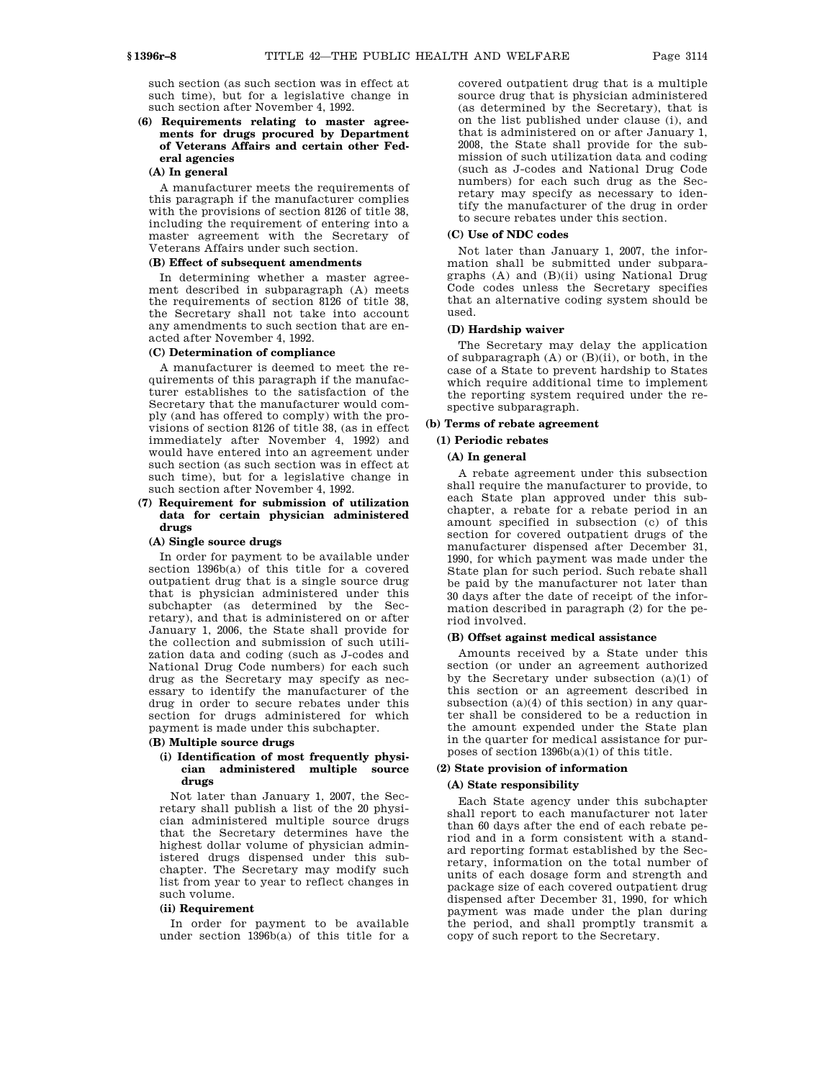such section (as such section was in effect at such time), but for a legislative change in such section after November 4, 1992.

## **(6) Requirements relating to master agreements for drugs procured by Department of Veterans Affairs and certain other Federal agencies**

## **(A) In general**

A manufacturer meets the requirements of this paragraph if the manufacturer complies with the provisions of section 8126 of title 38, including the requirement of entering into a master agreement with the Secretary of Veterans Affairs under such section.

## **(B) Effect of subsequent amendments**

In determining whether a master agreement described in subparagraph (A) meets the requirements of section 8126 of title 38, the Secretary shall not take into account any amendments to such section that are enacted after November 4, 1992.

## **(C) Determination of compliance**

A manufacturer is deemed to meet the requirements of this paragraph if the manufacturer establishes to the satisfaction of the Secretary that the manufacturer would comply (and has offered to comply) with the provisions of section 8126 of title 38, (as in effect immediately after November 4, 1992) and would have entered into an agreement under such section (as such section was in effect at such time), but for a legislative change in such section after November 4, 1992.

## **(7) Requirement for submission of utilization data for certain physician administered drugs**

#### **(A) Single source drugs**

In order for payment to be available under section 1396b(a) of this title for a covered outpatient drug that is a single source drug that is physician administered under this subchapter (as determined by the Secretary), and that is administered on or after January 1, 2006, the State shall provide for the collection and submission of such utilization data and coding (such as J-codes and National Drug Code numbers) for each such drug as the Secretary may specify as necessary to identify the manufacturer of the drug in order to secure rebates under this section for drugs administered for which payment is made under this subchapter.

## **(B) Multiple source drugs**

## **(i) Identification of most frequently physician administered multiple source drugs**

Not later than January 1, 2007, the Secretary shall publish a list of the 20 physician administered multiple source drugs that the Secretary determines have the highest dollar volume of physician administered drugs dispensed under this subchapter. The Secretary may modify such list from year to year to reflect changes in such volume.

#### **(ii) Requirement**

In order for payment to be available under section 1396b(a) of this title for a covered outpatient drug that is a multiple source drug that is physician administered (as determined by the Secretary), that is on the list published under clause (i), and that is administered on or after January 1, 2008, the State shall provide for the submission of such utilization data and coding (such as J-codes and National Drug Code numbers) for each such drug as the Secretary may specify as necessary to identify the manufacturer of the drug in order to secure rebates under this section.

# **(C) Use of NDC codes**

Not later than January 1, 2007, the information shall be submitted under subparagraphs (A) and (B)(ii) using National Drug Code codes unless the Secretary specifies that an alternative coding system should be used.

#### **(D) Hardship waiver**

The Secretary may delay the application of subparagraph (A) or (B)(ii), or both, in the case of a State to prevent hardship to States which require additional time to implement the reporting system required under the respective subparagraph.

# **(b) Terms of rebate agreement**

# **(1) Periodic rebates**

## **(A) In general**

A rebate agreement under this subsection shall require the manufacturer to provide, to each State plan approved under this subchapter, a rebate for a rebate period in an amount specified in subsection (c) of this section for covered outpatient drugs of the manufacturer dispensed after December 31, 1990, for which payment was made under the State plan for such period. Such rebate shall be paid by the manufacturer not later than 30 days after the date of receipt of the information described in paragraph (2) for the period involved.

## **(B) Offset against medical assistance**

Amounts received by a State under this section (or under an agreement authorized by the Secretary under subsection (a)(1) of this section or an agreement described in subsection (a)(4) of this section) in any quarter shall be considered to be a reduction in the amount expended under the State plan in the quarter for medical assistance for purposes of section  $1396b(a)(1)$  of this title.

#### **(2) State provision of information**

## **(A) State responsibility**

Each State agency under this subchapter shall report to each manufacturer not later than 60 days after the end of each rebate period and in a form consistent with a standard reporting format established by the Secretary, information on the total number of units of each dosage form and strength and package size of each covered outpatient drug dispensed after December 31, 1990, for which payment was made under the plan during the period, and shall promptly transmit a copy of such report to the Secretary.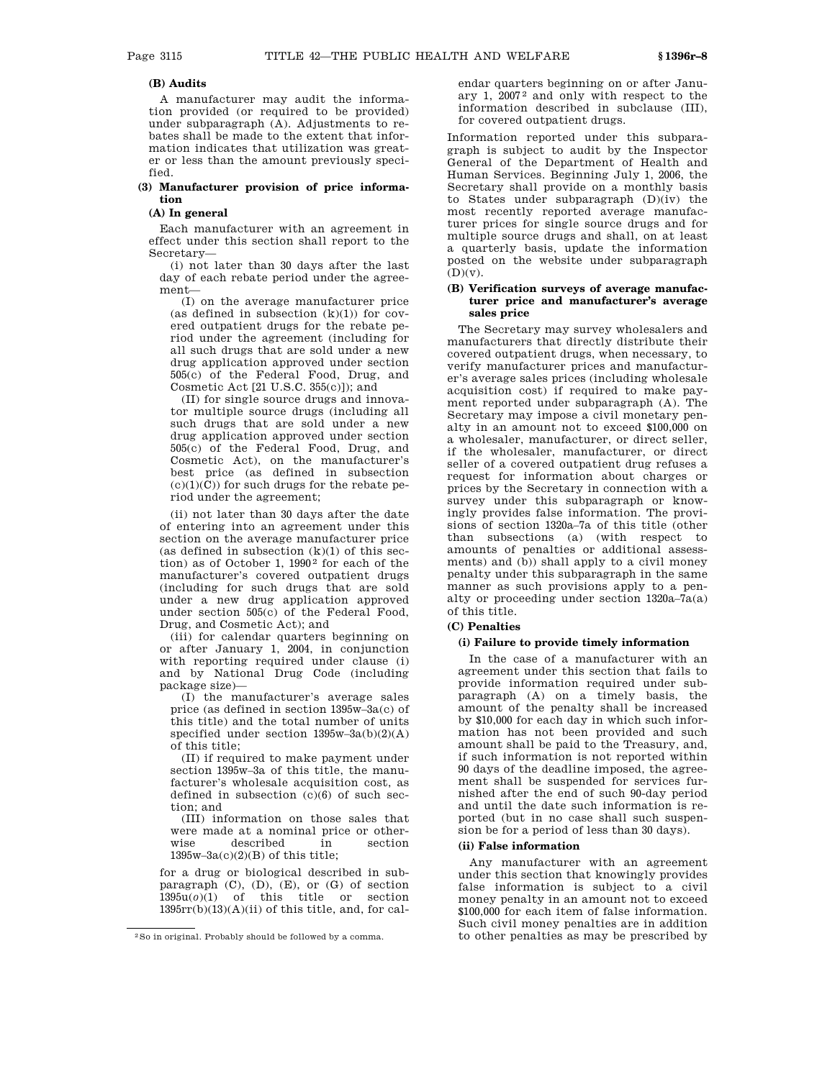## **(B) Audits**

A manufacturer may audit the information provided (or required to be provided) under subparagraph (A). Adjustments to rebates shall be made to the extent that information indicates that utilization was greater or less than the amount previously specified.

### **(3) Manufacturer provision of price information**

## **(A) In general**

Each manufacturer with an agreement in effect under this section shall report to the Secretary—

(i) not later than 30 days after the last day of each rebate period under the agreement—

(I) on the average manufacturer price (as defined in subsection  $(k)(1)$ ) for covered outpatient drugs for the rebate period under the agreement (including for all such drugs that are sold under a new drug application approved under section 505(c) of the Federal Food, Drug, and Cosmetic Act [21 U.S.C. 355(c)]); and

(II) for single source drugs and innovator multiple source drugs (including all such drugs that are sold under a new drug application approved under section 505(c) of the Federal Food, Drug, and Cosmetic Act), on the manufacturer's best price (as defined in subsection  $(c)(1)(\overline{C})$  for such drugs for the rebate period under the agreement;

(ii) not later than 30 days after the date of entering into an agreement under this section on the average manufacturer price (as defined in subsection  $(k)(1)$  of this section) as of October 1, 1990<sup>2</sup> for each of the manufacturer's covered outpatient drugs (including for such drugs that are sold under a new drug application approved under section 505(c) of the Federal Food, Drug, and Cosmetic Act); and

(iii) for calendar quarters beginning on or after January 1, 2004, in conjunction with reporting required under clause (i) and by National Drug Code (including package size)—

(I) the manufacturer's average sales price (as defined in section 1395w–3a(c) of this title) and the total number of units specified under section 1395w–3a(b)(2)(A) of this title;

(II) if required to make payment under section 1395w–3a of this title, the manufacturer's wholesale acquisition cost, as defined in subsection (c)(6) of such section; and

(III) information on those sales that were made at a nominal price or otherwise described in section 1395w–3a(c)(2)(B) of this title;

for a drug or biological described in subparagraph  $(C)$ ,  $(D)$ ,  $(E)$ , or  $(G)$  of section 1395u(*o*)(1) of this title or section  $1395rr(b)(13)(A)(ii)$  of this title, and, for calendar quarters beginning on or after January 1, 2007<sup>2</sup> and only with respect to the information described in subclause (III), for covered outpatient drugs.

Information reported under this subparagraph is subject to audit by the Inspector General of the Department of Health and Human Services. Beginning July 1, 2006, the Secretary shall provide on a monthly basis to States under subparagraph (D)(iv) the most recently reported average manufacturer prices for single source drugs and for multiple source drugs and shall, on at least a quarterly basis, update the information posted on the website under subparagraph  $(D)(v)$ .

## **(B) Verification surveys of average manufacturer price and manufacturer's average sales price**

The Secretary may survey wholesalers and manufacturers that directly distribute their covered outpatient drugs, when necessary, to verify manufacturer prices and manufacturer's average sales prices (including wholesale acquisition cost) if required to make payment reported under subparagraph (A). The Secretary may impose a civil monetary penalty in an amount not to exceed \$100,000 on a wholesaler, manufacturer, or direct seller, if the wholesaler, manufacturer, or direct seller of a covered outpatient drug refuses a request for information about charges or prices by the Secretary in connection with a survey under this subparagraph or knowingly provides false information. The provisions of section 1320a–7a of this title (other than subsections (a) (with respect to amounts of penalties or additional assessments) and (b)) shall apply to a civil money penalty under this subparagraph in the same manner as such provisions apply to a penalty or proceeding under section 1320a–7a(a) of this title.

### **(C) Penalties**

### **(i) Failure to provide timely information**

In the case of a manufacturer with an agreement under this section that fails to provide information required under subparagraph (A) on a timely basis, the amount of the penalty shall be increased by \$10,000 for each day in which such information has not been provided and such amount shall be paid to the Treasury, and, if such information is not reported within 90 days of the deadline imposed, the agreement shall be suspended for services furnished after the end of such 90-day period and until the date such information is reported (but in no case shall such suspension be for a period of less than 30 days).

## **(ii) False information**

Any manufacturer with an agreement under this section that knowingly provides false information is subject to a civil money penalty in an amount not to exceed \$100,000 for each item of false information. Such civil money penalties are in addition to other penalties as may be prescribed by

<sup>2</sup>So in original. Probably should be followed by a comma.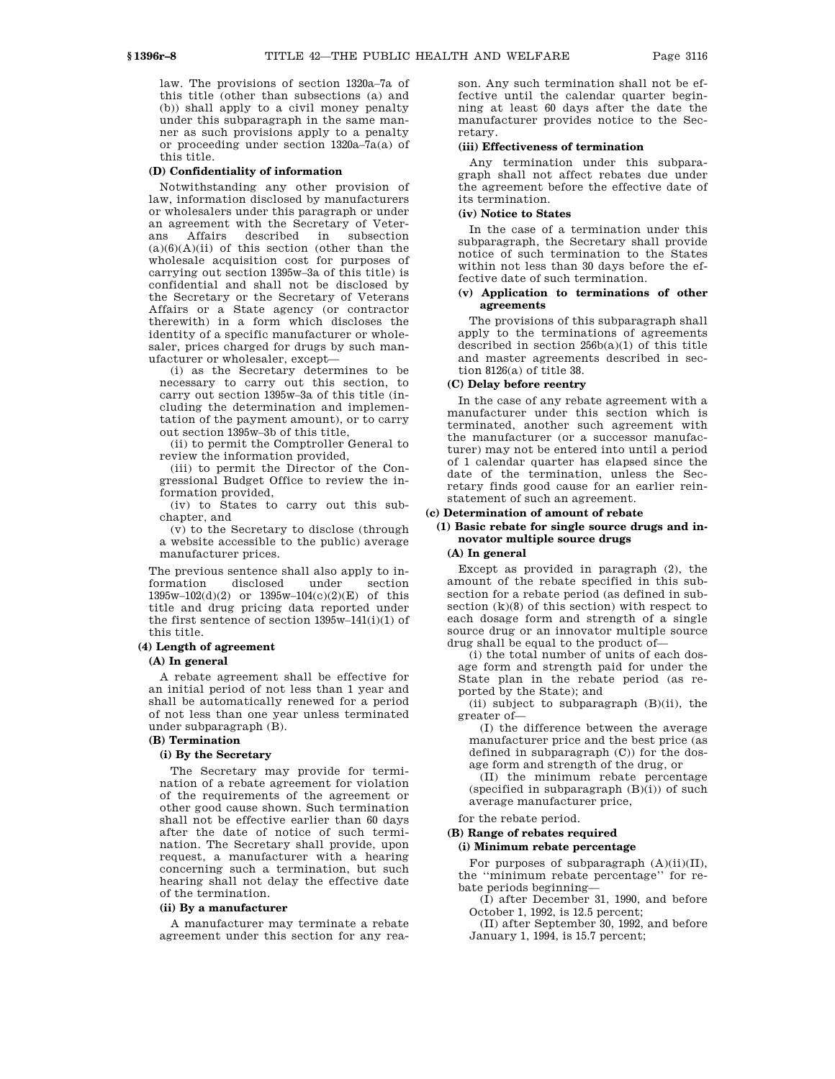law. The provisions of section 1320a–7a of this title (other than subsections (a) and (b)) shall apply to a civil money penalty under this subparagraph in the same manner as such provisions apply to a penalty or proceeding under section 1320a–7a(a) of this title.

#### **(D) Confidentiality of information**

Notwithstanding any other provision of law, information disclosed by manufacturers or wholesalers under this paragraph or under an agreement with the Secretary of Veterans Affairs described in subsection  $(a)(6)(A)(ii)$  of this section (other than the wholesale acquisition cost for purposes of carrying out section 1395w–3a of this title) is confidential and shall not be disclosed by the Secretary or the Secretary of Veterans Affairs or a State agency (or contractor therewith) in a form which discloses the identity of a specific manufacturer or wholesaler, prices charged for drugs by such manufacturer or wholesaler, except—

(i) as the Secretary determines to be necessary to carry out this section, to carry out section 1395w–3a of this title (including the determination and implementation of the payment amount), or to carry out section 1395w–3b of this title,

(ii) to permit the Comptroller General to review the information provided,

(iii) to permit the Director of the Congressional Budget Office to review the information provided,

(iv) to States to carry out this subchapter, and

(v) to the Secretary to disclose (through a website accessible to the public) average manufacturer prices.

The previous sentence shall also apply to information disclosed under section 1395w–102(d)(2) or 1395w–104(c)(2)(E) of this title and drug pricing data reported under the first sentence of section 1395w–141(i)(1) of this title.

#### **(4) Length of agreement**

### **(A) In general**

A rebate agreement shall be effective for an initial period of not less than 1 year and shall be automatically renewed for a period of not less than one year unless terminated under subparagraph (B).

# **(B) Termination**

# **(i) By the Secretary**

The Secretary may provide for termination of a rebate agreement for violation of the requirements of the agreement or other good cause shown. Such termination shall not be effective earlier than 60 days after the date of notice of such termination. The Secretary shall provide, upon request, a manufacturer with a hearing concerning such a termination, but such hearing shall not delay the effective date of the termination.

#### **(ii) By a manufacturer**

A manufacturer may terminate a rebate agreement under this section for any rea-

son. Any such termination shall not be effective until the calendar quarter beginning at least 60 days after the date the manufacturer provides notice to the Secretary.

#### **(iii) Effectiveness of termination**

Any termination under this subparagraph shall not affect rebates due under the agreement before the effective date of its termination.

#### **(iv) Notice to States**

In the case of a termination under this subparagraph, the Secretary shall provide notice of such termination to the States within not less than 30 days before the effective date of such termination.

## **(v) Application to terminations of other agreements**

The provisions of this subparagraph shall apply to the terminations of agreements described in section  $256b(a)(1)$  of this title and master agreements described in section 8126(a) of title 38.

#### **(C) Delay before reentry**

In the case of any rebate agreement with a manufacturer under this section which is terminated, another such agreement with the manufacturer (or a successor manufacturer) may not be entered into until a period of 1 calendar quarter has elapsed since the date of the termination, unless the Secretary finds good cause for an earlier reinstatement of such an agreement.

#### **(c) Determination of amount of rebate**

## **(1) Basic rebate for single source drugs and innovator multiple source drugs**

### **(A) In general**

Except as provided in paragraph (2), the amount of the rebate specified in this subsection for a rebate period (as defined in subsection  $(k)(8)$  of this section) with respect to each dosage form and strength of a single source drug or an innovator multiple source drug shall be equal to the product of—

(i) the total number of units of each dosage form and strength paid for under the State plan in the rebate period (as reported by the State); and

(ii) subject to subparagraph (B)(ii), the greater of—

(I) the difference between the average manufacturer price and the best price (as defined in subparagraph (C)) for the dosage form and strength of the drug, or

(II) the minimum rebate percentage (specified in subparagraph (B)(i)) of such average manufacturer price,

for the rebate period.

## **(B) Range of rebates required**

## **(i) Minimum rebate percentage**

For purposes of subparagraph  $(A)(ii)(II)$ , the ''minimum rebate percentage'' for rebate periods beginning—

(I) after December 31, 1990, and before October 1, 1992, is 12.5 percent;

(II) after September 30, 1992, and before January 1, 1994, is 15.7 percent;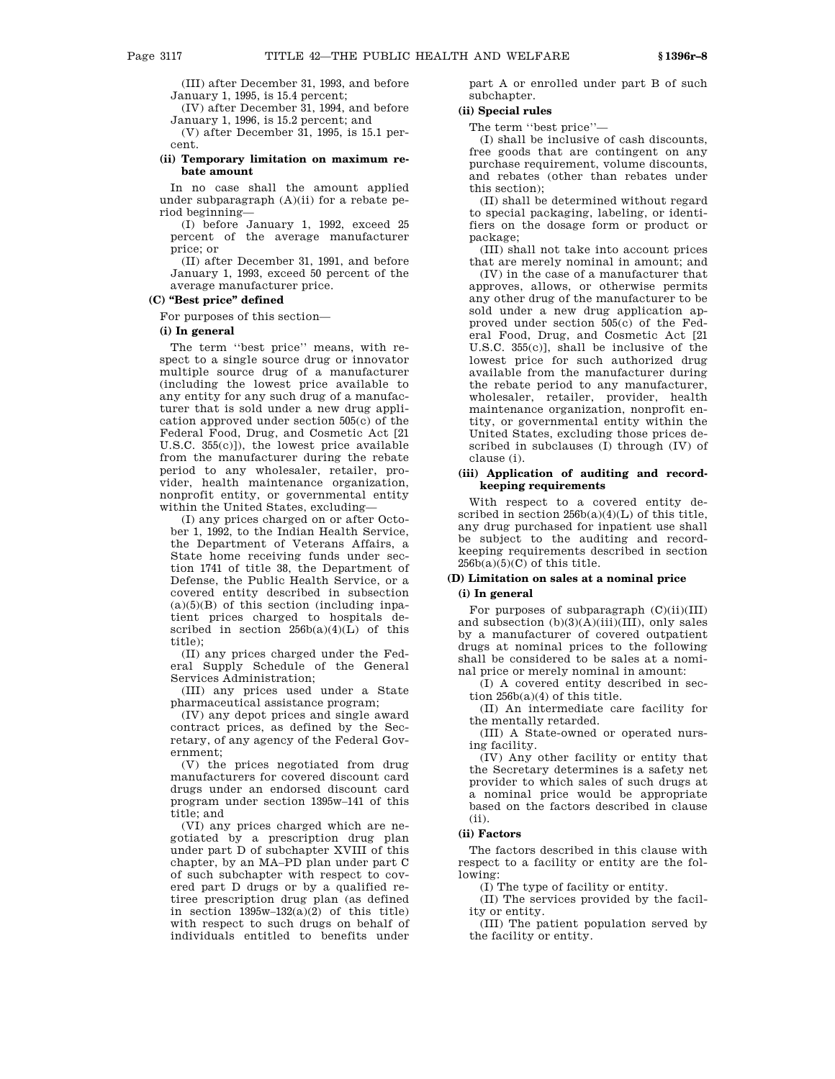(III) after December 31, 1993, and before January 1, 1995, is 15.4 percent;

(IV) after December 31, 1994, and before January 1, 1996, is 15.2 percent; and

(V) after December 31, 1995, is 15.1 percent.

## **(ii) Temporary limitation on maximum rebate amount**

In no case shall the amount applied under subparagraph (A)(ii) for a rebate period beginning—

(I) before January 1, 1992, exceed 25 percent of the average manufacturer price; or

(II) after December 31, 1991, and before January 1, 1993, exceed 50 percent of the average manufacturer price.

# **(C) ''Best price'' defined**

For purposes of this section—

## **(i) In general**

The term ''best price'' means, with respect to a single source drug or innovator multiple source drug of a manufacturer (including the lowest price available to any entity for any such drug of a manufacturer that is sold under a new drug application approved under section 505(c) of the Federal Food, Drug, and Cosmetic Act [21 U.S.C. 355(c)]), the lowest price available from the manufacturer during the rebate period to any wholesaler, retailer, provider, health maintenance organization, nonprofit entity, or governmental entity within the United States, excluding—

(I) any prices charged on or after October 1, 1992, to the Indian Health Service, the Department of Veterans Affairs, a State home receiving funds under section 1741 of title 38, the Department of Defense, the Public Health Service, or a covered entity described in subsection  $(a)(5)(B)$  of this section (including inpatient prices charged to hospitals described in section  $256b(a)(4)(L)$  of this title);

(II) any prices charged under the Federal Supply Schedule of the General Services Administration;

(III) any prices used under a State pharmaceutical assistance program;

(IV) any depot prices and single award contract prices, as defined by the Secretary, of any agency of the Federal Government;

(V) the prices negotiated from drug manufacturers for covered discount card drugs under an endorsed discount card program under section 1395w–141 of this title; and

(VI) any prices charged which are negotiated by a prescription drug plan under part D of subchapter XVIII of this chapter, by an MA–PD plan under part C of such subchapter with respect to covered part D drugs or by a qualified retiree prescription drug plan (as defined in section 1395w–132(a)(2) of this title) with respect to such drugs on behalf of individuals entitled to benefits under part A or enrolled under part B of such subchapter.

## **(ii) Special rules**

The term ''best price''—

(I) shall be inclusive of cash discounts, free goods that are contingent on any purchase requirement, volume discounts, and rebates (other than rebates under this section);

(II) shall be determined without regard to special packaging, labeling, or identifiers on the dosage form or product or package;

(III) shall not take into account prices that are merely nominal in amount; and

(IV) in the case of a manufacturer that approves, allows, or otherwise permits any other drug of the manufacturer to be sold under a new drug application approved under section 505(c) of the Federal Food, Drug, and Cosmetic Act [21 U.S.C. 355(c)], shall be inclusive of the lowest price for such authorized drug available from the manufacturer during the rebate period to any manufacturer, wholesaler, retailer, provider, health maintenance organization, nonprofit entity, or governmental entity within the United States, excluding those prices described in subclauses (I) through (IV) of clause (i).

### **(iii) Application of auditing and recordkeeping requirements**

With respect to a covered entity described in section  $256b(a)(4)(L)$  of this title, any drug purchased for inpatient use shall be subject to the auditing and recordkeeping requirements described in section  $256b(a)(5)(C)$  of this title.

# **(D) Limitation on sales at a nominal price**

# **(i) In general**

For purposes of subparagraph  $(C)(ii)(III)$ and subsection  $(b)(3)(A)(iii)(III)$ , only sales by a manufacturer of covered outpatient drugs at nominal prices to the following shall be considered to be sales at a nominal price or merely nominal in amount:

(I) A covered entity described in sec-

tion  $256b(a)(4)$  of this title. (II) An intermediate care facility for the mentally retarded.

(III) A State-owned or operated nursing facility.

(IV) Any other facility or entity that the Secretary determines is a safety net provider to which sales of such drugs at a nominal price would be appropriate based on the factors described in clause (ii).

## **(ii) Factors**

The factors described in this clause with respect to a facility or entity are the following:

(I) The type of facility or entity.

(II) The services provided by the facility or entity.

(III) The patient population served by the facility or entity.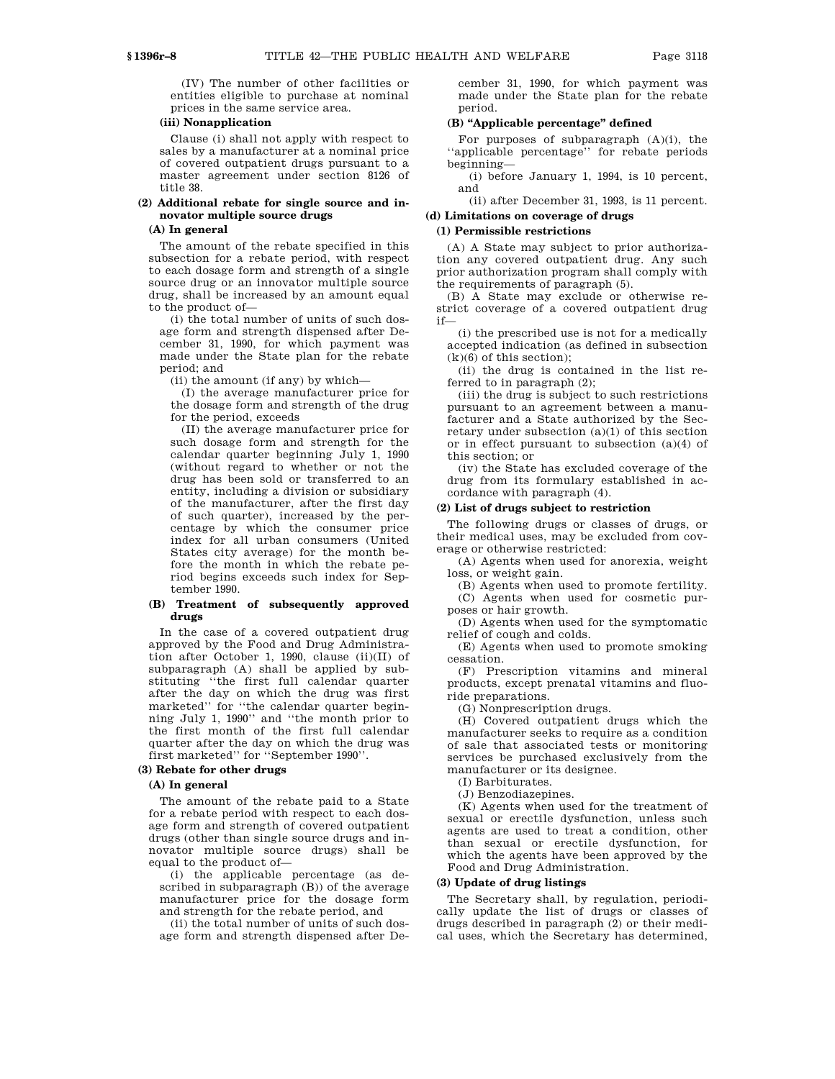(IV) The number of other facilities or entities eligible to purchase at nominal prices in the same service area.

## **(iii) Nonapplication**

Clause (i) shall not apply with respect to sales by a manufacturer at a nominal price of covered outpatient drugs pursuant to a master agreement under section 8126 of title 38.

## **(2) Additional rebate for single source and innovator multiple source drugs**

## **(A) In general**

The amount of the rebate specified in this subsection for a rebate period, with respect to each dosage form and strength of a single source drug or an innovator multiple source drug, shall be increased by an amount equal to the product of—

(i) the total number of units of such dosage form and strength dispensed after December 31, 1990, for which payment was made under the State plan for the rebate period; and

(ii) the amount (if any) by which—

(I) the average manufacturer price for the dosage form and strength of the drug for the period, exceeds

(II) the average manufacturer price for such dosage form and strength for the calendar quarter beginning July 1, 1990 (without regard to whether or not the drug has been sold or transferred to an entity, including a division or subsidiary of the manufacturer, after the first day of such quarter), increased by the percentage by which the consumer price index for all urban consumers (United States city average) for the month before the month in which the rebate period begins exceeds such index for September 1990.

### **(B) Treatment of subsequently approved drugs**

In the case of a covered outpatient drug approved by the Food and Drug Administration after October 1, 1990, clause (ii)(II) of subparagraph (A) shall be applied by substituting ''the first full calendar quarter after the day on which the drug was first marketed'' for ''the calendar quarter beginning July 1, 1990'' and ''the month prior to the first month of the first full calendar quarter after the day on which the drug was first marketed'' for ''September 1990''.

## **(3) Rebate for other drugs**

## **(A) In general**

The amount of the rebate paid to a State for a rebate period with respect to each dosage form and strength of covered outpatient drugs (other than single source drugs and innovator multiple source drugs) shall be equal to the product of—

(i) the applicable percentage (as described in subparagraph (B)) of the average manufacturer price for the dosage form and strength for the rebate period, and

(ii) the total number of units of such dosage form and strength dispensed after December 31, 1990, for which payment was made under the State plan for the rebate period.

### **(B) ''Applicable percentage'' defined**

For purposes of subparagraph (A)(i), the ''applicable percentage'' for rebate periods beginning—

(i) before January 1, 1994, is 10 percent, and

(ii) after December 31, 1993, is 11 percent. **(d) Limitations on coverage of drugs**

#### **(1) Permissible restrictions**

(A) A State may subject to prior authorization any covered outpatient drug. Any such prior authorization program shall comply with the requirements of paragraph (5).

(B) A State may exclude or otherwise restrict coverage of a covered outpatient drug if—

(i) the prescribed use is not for a medically accepted indication (as defined in subsection  $(k)(6)$  of this section);

(ii) the drug is contained in the list referred to in paragraph (2);

(iii) the drug is subject to such restrictions pursuant to an agreement between a manufacturer and a State authorized by the Secretary under subsection  $(a)(1)$  of this section or in effect pursuant to subsection (a)(4) of this section; or

(iv) the State has excluded coverage of the drug from its formulary established in accordance with paragraph (4).

## **(2) List of drugs subject to restriction**

The following drugs or classes of drugs, or their medical uses, may be excluded from coverage or otherwise restricted:

(A) Agents when used for anorexia, weight loss, or weight gain.

(B) Agents when used to promote fertility.

(C) Agents when used for cosmetic purposes or hair growth.

(D) Agents when used for the symptomatic relief of cough and colds.

(E) Agents when used to promote smoking cessation.

(F) Prescription vitamins and mineral products, except prenatal vitamins and fluoride preparations.

(G) Nonprescription drugs.

(H) Covered outpatient drugs which the manufacturer seeks to require as a condition of sale that associated tests or monitoring services be purchased exclusively from the manufacturer or its designee.

(I) Barbiturates.

(J) Benzodiazepines.

(K) Agents when used for the treatment of sexual or erectile dysfunction, unless such agents are used to treat a condition, other than sexual or erectile dysfunction, for which the agents have been approved by the Food and Drug Administration.

#### **(3) Update of drug listings**

The Secretary shall, by regulation, periodically update the list of drugs or classes of drugs described in paragraph (2) or their medical uses, which the Secretary has determined,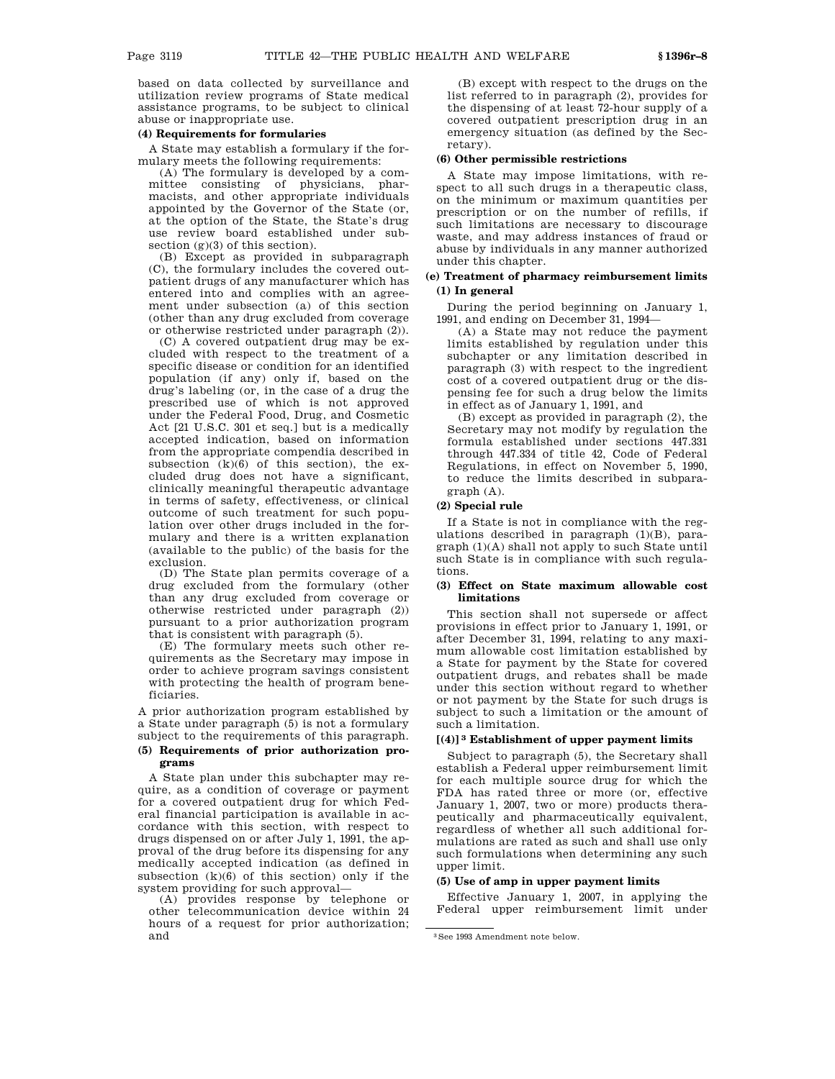based on data collected by surveillance and utilization review programs of State medical assistance programs, to be subject to clinical abuse or inappropriate use.

## **(4) Requirements for formularies**

A State may establish a formulary if the formulary meets the following requirements:

(A) The formulary is developed by a committee consisting of physicians, pharmacists, and other appropriate individuals appointed by the Governor of the State (or, at the option of the State, the State's drug use review board established under subsection  $(g)(3)$  of this section).

(B) Except as provided in subparagraph (C), the formulary includes the covered outpatient drugs of any manufacturer which has entered into and complies with an agreement under subsection (a) of this section (other than any drug excluded from coverage or otherwise restricted under paragraph (2)).

(C) A covered outpatient drug may be excluded with respect to the treatment of a specific disease or condition for an identified population (if any) only if, based on the drug's labeling (or, in the case of a drug the prescribed use of which is not approved under the Federal Food, Drug, and Cosmetic Act [21 U.S.C. 301 et seq.] but is a medically accepted indication, based on information from the appropriate compendia described in subsection  $(k)(6)$  of this section), the excluded drug does not have a significant, clinically meaningful therapeutic advantage in terms of safety, effectiveness, or clinical outcome of such treatment for such population over other drugs included in the formulary and there is a written explanation (available to the public) of the basis for the exclusion.

(D) The State plan permits coverage of a drug excluded from the formulary (other than any drug excluded from coverage or otherwise restricted under paragraph (2)) pursuant to a prior authorization program that is consistent with paragraph (5).

(E) The formulary meets such other requirements as the Secretary may impose in order to achieve program savings consistent with protecting the health of program beneficiaries.

A prior authorization program established by a State under paragraph (5) is not a formulary subject to the requirements of this paragraph.

## **(5) Requirements of prior authorization programs**

A State plan under this subchapter may require, as a condition of coverage or payment for a covered outpatient drug for which Federal financial participation is available in accordance with this section, with respect to drugs dispensed on or after July 1, 1991, the approval of the drug before its dispensing for any medically accepted indication (as defined in subsection  $(k)(6)$  of this section) only if the system providing for such approval—

(A) provides response by telephone or other telecommunication device within 24 hours of a request for prior authorization; and

(B) except with respect to the drugs on the list referred to in paragraph (2), provides for the dispensing of at least 72-hour supply of a covered outpatient prescription drug in an emergency situation (as defined by the Secretary).

# **(6) Other permissible restrictions**

A State may impose limitations, with respect to all such drugs in a therapeutic class, on the minimum or maximum quantities per prescription or on the number of refills, if such limitations are necessary to discourage waste, and may address instances of fraud or abuse by individuals in any manner authorized under this chapter.

## **(e) Treatment of pharmacy reimbursement limits (1) In general**

During the period beginning on January 1, 1991, and ending on December 31, 1994—

(A) a State may not reduce the payment limits established by regulation under this subchapter or any limitation described in paragraph (3) with respect to the ingredient cost of a covered outpatient drug or the dispensing fee for such a drug below the limits in effect as of January 1, 1991, and

(B) except as provided in paragraph (2), the Secretary may not modify by regulation the formula established under sections 447.331 through 447.334 of title 42, Code of Federal Regulations, in effect on November 5, 1990, to reduce the limits described in subparagraph (A).

#### **(2) Special rule**

If a State is not in compliance with the regulations described in paragraph (1)(B), paragraph (1)(A) shall not apply to such State until such State is in compliance with such regulations.

### **(3) Effect on State maximum allowable cost limitations**

This section shall not supersede or affect provisions in effect prior to January 1, 1991, or after December 31, 1994, relating to any maximum allowable cost limitation established by a State for payment by the State for covered outpatient drugs, and rebates shall be made under this section without regard to whether or not payment by the State for such drugs is subject to such a limitation or the amount of such a limitation.

## **[(4)] 3 Establishment of upper payment limits**

Subject to paragraph (5), the Secretary shall establish a Federal upper reimbursement limit for each multiple source drug for which the FDA has rated three or more (or, effective January 1, 2007, two or more) products therapeutically and pharmaceutically equivalent, regardless of whether all such additional formulations are rated as such and shall use only such formulations when determining any such upper limit.

#### **(5) Use of amp in upper payment limits**

Effective January 1, 2007, in applying the Federal upper reimbursement limit under

<sup>3</sup>See 1993 Amendment note below.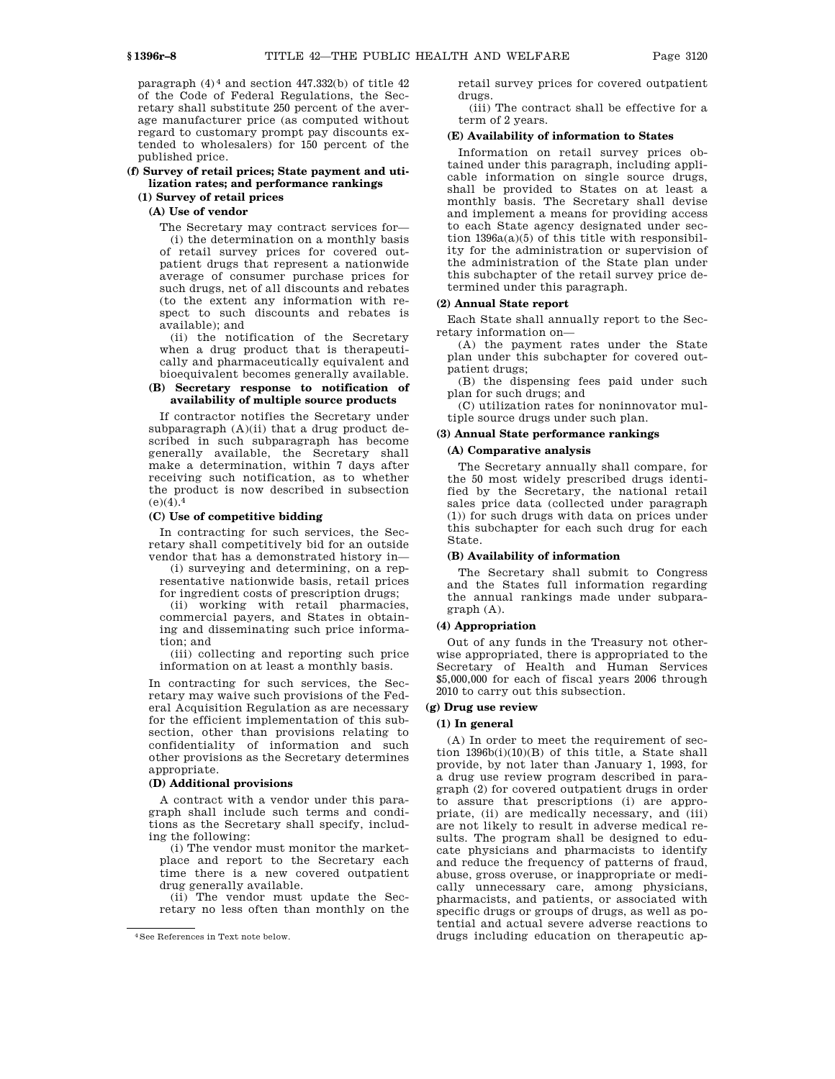paragraph  $(4)^4$  and section  $447.332(b)$  of title  $42$ of the Code of Federal Regulations, the Secretary shall substitute 250 percent of the average manufacturer price (as computed without regard to customary prompt pay discounts extended to wholesalers) for 150 percent of the published price.

**(f) Survey of retail prices; State payment and utilization rates; and performance rankings**

# **(1) Survey of retail prices**

**(A) Use of vendor**

The Secretary may contract services for— (i) the determination on a monthly basis of retail survey prices for covered outpatient drugs that represent a nationwide average of consumer purchase prices for such drugs, net of all discounts and rebates (to the extent any information with respect to such discounts and rebates is available); and

(ii) the notification of the Secretary when a drug product that is therapeutically and pharmaceutically equivalent and bioequivalent becomes generally available.

## **(B) Secretary response to notification of availability of multiple source products**

If contractor notifies the Secretary under subparagraph  $(A)(ii)$  that a drug product described in such subparagraph has become generally available, the Secretary shall make a determination, within 7 days after receiving such notification, as to whether the product is now described in subsection  $(e)(4).4$ 

## **(C) Use of competitive bidding**

In contracting for such services, the Secretary shall competitively bid for an outside vendor that has a demonstrated history in—

(i) surveying and determining, on a representative nationwide basis, retail prices for ingredient costs of prescription drugs;

(ii) working with retail pharmacies, commercial payers, and States in obtaining and disseminating such price information; and

(iii) collecting and reporting such price information on at least a monthly basis.

In contracting for such services, the Secretary may waive such provisions of the Federal Acquisition Regulation as are necessary for the efficient implementation of this subsection, other than provisions relating to confidentiality of information and such other provisions as the Secretary determines appropriate.

#### **(D) Additional provisions**

A contract with a vendor under this paragraph shall include such terms and conditions as the Secretary shall specify, including the following:

(i) The vendor must monitor the marketplace and report to the Secretary each time there is a new covered outpatient drug generally available.

(ii) The vendor must update the Secretary no less often than monthly on the retail survey prices for covered outpatient drugs.

(iii) The contract shall be effective for a term of 2 years.

# **(E) Availability of information to States**

Information on retail survey prices obtained under this paragraph, including applicable information on single source drugs, shall be provided to States on at least a monthly basis. The Secretary shall devise and implement a means for providing access to each State agency designated under section 1396a(a)(5) of this title with responsibility for the administration or supervision of the administration of the State plan under this subchapter of the retail survey price determined under this paragraph.

# **(2) Annual State report**

Each State shall annually report to the Secretary information on—

(A) the payment rates under the State plan under this subchapter for covered outpatient drugs;

(B) the dispensing fees paid under such plan for such drugs; and

(C) utilization rates for noninnovator multiple source drugs under such plan.

## **(3) Annual State performance rankings**

#### **(A) Comparative analysis**

The Secretary annually shall compare, for the 50 most widely prescribed drugs identified by the Secretary, the national retail sales price data (collected under paragraph (1)) for such drugs with data on prices under this subchapter for each such drug for each State.

#### **(B) Availability of information**

The Secretary shall submit to Congress and the States full information regarding the annual rankings made under subparagraph (A).

### **(4) Appropriation**

Out of any funds in the Treasury not otherwise appropriated, there is appropriated to the Secretary of Health and Human Services \$5,000,000 for each of fiscal years 2006 through 2010 to carry out this subsection.

## **(g) Drug use review**

## **(1) In general**

(A) In order to meet the requirement of section 1396b(i)(10)(B) of this title, a State shall provide, by not later than January 1, 1993, for a drug use review program described in paragraph (2) for covered outpatient drugs in order to assure that prescriptions (i) are appropriate, (ii) are medically necessary, and (iii) are not likely to result in adverse medical results. The program shall be designed to educate physicians and pharmacists to identify and reduce the frequency of patterns of fraud, abuse, gross overuse, or inappropriate or medically unnecessary care, among physicians, pharmacists, and patients, or associated with specific drugs or groups of drugs, as well as potential and actual severe adverse reactions to drugs including education on therapeutic ap-

<sup>4</sup>See References in Text note below.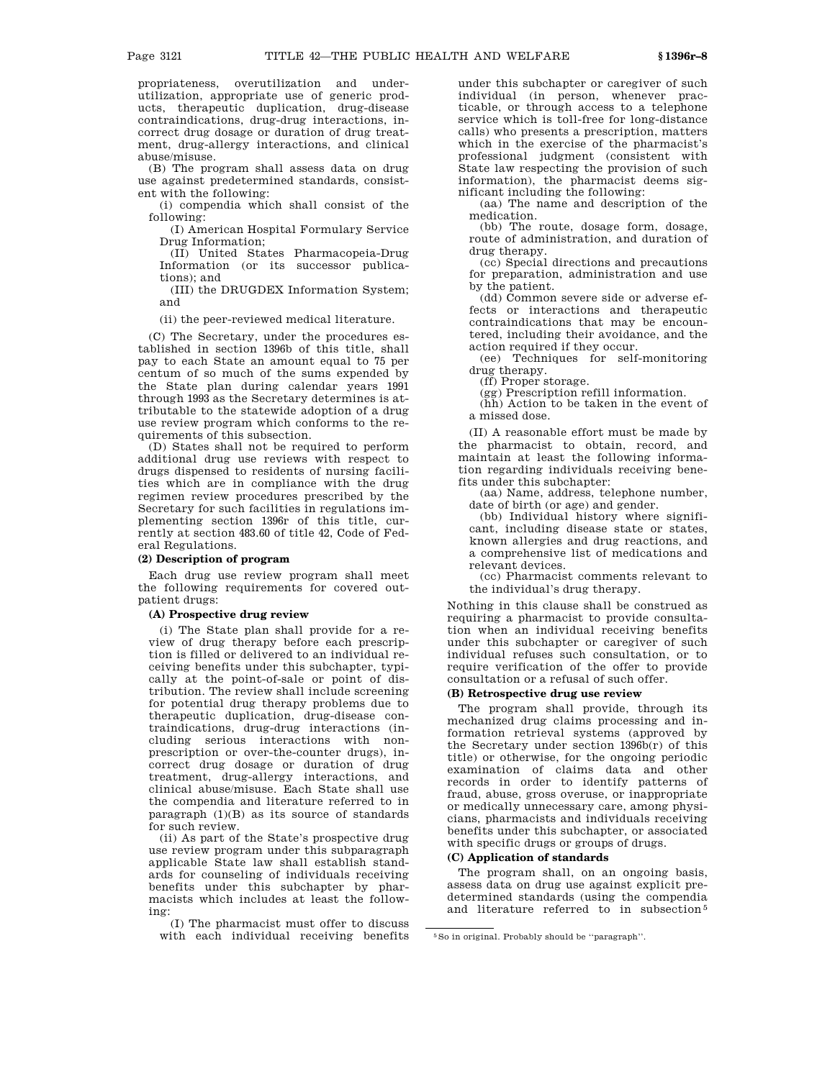propriateness, overutilization and underutilization, appropriate use of generic products, therapeutic duplication, drug-disease contraindications, drug-drug interactions, incorrect drug dosage or duration of drug treatment, drug-allergy interactions, and clinical abuse/misuse.

(B) The program shall assess data on drug use against predetermined standards, consistent with the following:

(i) compendia which shall consist of the following:

(I) American Hospital Formulary Service Drug Information;

(II) United States Pharmacopeia-Drug Information (or its successor publications); and

(III) the DRUGDEX Information System; and

(ii) the peer-reviewed medical literature.

(C) The Secretary, under the procedures established in section 1396b of this title, shall pay to each State an amount equal to 75 per centum of so much of the sums expended by the State plan during calendar years 1991 through 1993 as the Secretary determines is attributable to the statewide adoption of a drug use review program which conforms to the requirements of this subsection.

(D) States shall not be required to perform additional drug use reviews with respect to drugs dispensed to residents of nursing facilities which are in compliance with the drug regimen review procedures prescribed by the Secretary for such facilities in regulations implementing section 1396r of this title, currently at section 483.60 of title 42, Code of Federal Regulations.

## **(2) Description of program**

Each drug use review program shall meet the following requirements for covered outpatient drugs:

## **(A) Prospective drug review**

(i) The State plan shall provide for a review of drug therapy before each prescription is filled or delivered to an individual receiving benefits under this subchapter, typically at the point-of-sale or point of distribution. The review shall include screening for potential drug therapy problems due to therapeutic duplication, drug-disease contraindications, drug-drug interactions (including serious interactions with nonprescription or over-the-counter drugs), incorrect drug dosage or duration of drug treatment, drug-allergy interactions, and clinical abuse/misuse. Each State shall use the compendia and literature referred to in paragraph  $(1)(B)$  as its source of standards for such review.

(ii) As part of the State's prospective drug use review program under this subparagraph applicable State law shall establish standards for counseling of individuals receiving benefits under this subchapter by pharmacists which includes at least the following:

(I) The pharmacist must offer to discuss with each individual receiving benefits

under this subchapter or caregiver of such individual (in person, whenever practicable, or through access to a telephone service which is toll-free for long-distance calls) who presents a prescription, matters which in the exercise of the pharmacist's professional judgment (consistent with State law respecting the provision of such information), the pharmacist deems significant including the following:

(aa) The name and description of the medication.

(bb) The route, dosage form, dosage, route of administration, and duration of drug therapy.

(cc) Special directions and precautions for preparation, administration and use by the patient.

(dd) Common severe side or adverse effects or interactions and therapeutic contraindications that may be encountered, including their avoidance, and the action required if they occur.

(ee) Techniques for self-monitoring drug therapy.

(ff) Proper storage.

(gg) Prescription refill information.

(hh) Action to be taken in the event of a missed dose.

(II) A reasonable effort must be made by the pharmacist to obtain, record, and maintain at least the following information regarding individuals receiving benefits under this subchapter:

(aa) Name, address, telephone number, date of birth (or age) and gender.

(bb) Individual history where significant, including disease state or states, known allergies and drug reactions, and a comprehensive list of medications and relevant devices.

(cc) Pharmacist comments relevant to the individual's drug therapy.

Nothing in this clause shall be construed as requiring a pharmacist to provide consultation when an individual receiving benefits under this subchapter or caregiver of such individual refuses such consultation, or to require verification of the offer to provide consultation or a refusal of such offer.

#### **(B) Retrospective drug use review**

The program shall provide, through its mechanized drug claims processing and information retrieval systems (approved by the Secretary under section 1396b(r) of this title) or otherwise, for the ongoing periodic examination of claims data and other records in order to identify patterns of fraud, abuse, gross overuse, or inappropriate or medically unnecessary care, among physicians, pharmacists and individuals receiving benefits under this subchapter, or associated with specific drugs or groups of drugs.

### **(C) Application of standards**

The program shall, on an ongoing basis, assess data on drug use against explicit predetermined standards (using the compendia and literature referred to in subsection<sup>5</sup>

<sup>5</sup>So in original. Probably should be ''paragraph''.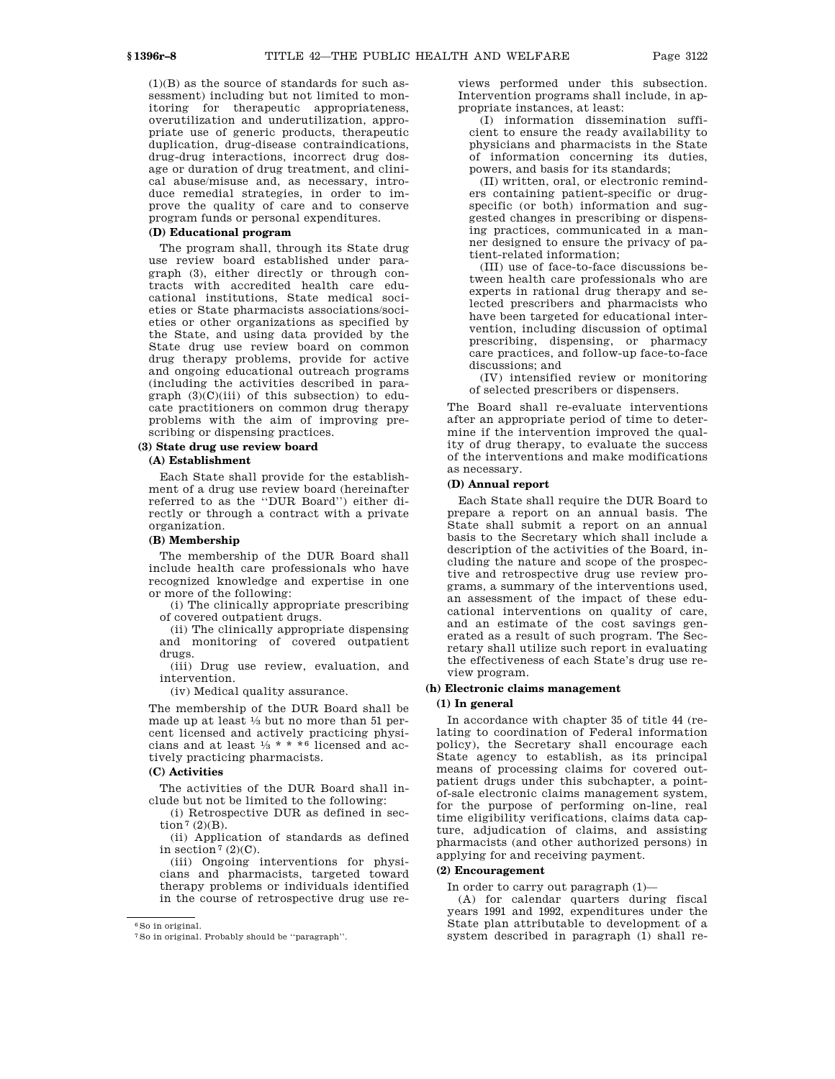$(1)(B)$  as the source of standards for such assessment) including but not limited to monitoring for therapeutic appropriateness, overutilization and underutilization, appropriate use of generic products, therapeutic duplication, drug-disease contraindications, drug-drug interactions, incorrect drug dosage or duration of drug treatment, and clinical abuse/misuse and, as necessary, introduce remedial strategies, in order to improve the quality of care and to conserve program funds or personal expenditures.

### **(D) Educational program**

The program shall, through its State drug use review board established under paragraph (3), either directly or through contracts with accredited health care educational institutions, State medical societies or State pharmacists associations/societies or other organizations as specified by the State, and using data provided by the State drug use review board on common drug therapy problems, provide for active and ongoing educational outreach programs (including the activities described in paragraph  $(3)(C)(iii)$  of this subsection) to educate practitioners on common drug therapy problems with the aim of improving prescribing or dispensing practices.

## **(3) State drug use review board**

## **(A) Establishment**

Each State shall provide for the establishment of a drug use review board (hereinafter referred to as the ''DUR Board'') either directly or through a contract with a private organization.

## **(B) Membership**

The membership of the DUR Board shall include health care professionals who have recognized knowledge and expertise in one or more of the following:

(i) The clinically appropriate prescribing of covered outpatient drugs.

(ii) The clinically appropriate dispensing and monitoring of covered outpatient drugs.

(iii) Drug use review, evaluation, and intervention.

(iv) Medical quality assurance.

The membership of the DUR Board shall be made up at least 1 ⁄3 but no more than 51 percent licensed and actively practicing physicians and at least 1 ⁄3 \* \* \* 6 licensed and actively practicing pharmacists.

#### **(C) Activities**

The activities of the DUR Board shall include but not be limited to the following:

(i) Retrospective DUR as defined in section<sup> $7(2)(B)$ </sup>.

(ii) Application of standards as defined in section<sup>7</sup> $(2)(C)$ .

(iii) Ongoing interventions for physicians and pharmacists, targeted toward therapy problems or individuals identified in the course of retrospective drug use re-

6So in original.

views performed under this subsection. Intervention programs shall include, in appropriate instances, at least:

(I) information dissemination sufficient to ensure the ready availability to physicians and pharmacists in the State of information concerning its duties, powers, and basis for its standards;

(II) written, oral, or electronic reminders containing patient-specific or drugspecific (or both) information and suggested changes in prescribing or dispensing practices, communicated in a manner designed to ensure the privacy of patient-related information;

(III) use of face-to-face discussions between health care professionals who are experts in rational drug therapy and selected prescribers and pharmacists who have been targeted for educational intervention, including discussion of optimal prescribing, dispensing, or pharmacy care practices, and follow-up face-to-face discussions; and

(IV) intensified review or monitoring of selected prescribers or dispensers.

The Board shall re-evaluate interventions after an appropriate period of time to determine if the intervention improved the quality of drug therapy, to evaluate the success of the interventions and make modifications as necessary.

### **(D) Annual report**

Each State shall require the DUR Board to prepare a report on an annual basis. The State shall submit a report on an annual basis to the Secretary which shall include a description of the activities of the Board, including the nature and scope of the prospective and retrospective drug use review programs, a summary of the interventions used, an assessment of the impact of these educational interventions on quality of care, and an estimate of the cost savings generated as a result of such program. The Secretary shall utilize such report in evaluating the effectiveness of each State's drug use review program.

## **(h) Electronic claims management**

## **(1) In general**

In accordance with chapter 35 of title 44 (relating to coordination of Federal information policy), the Secretary shall encourage each State agency to establish, as its principal means of processing claims for covered outpatient drugs under this subchapter, a pointof-sale electronic claims management system, for the purpose of performing on-line, real time eligibility verifications, claims data capture, adjudication of claims, and assisting pharmacists (and other authorized persons) in applying for and receiving payment.

#### **(2) Encouragement**

In order to carry out paragraph (1)—

(A) for calendar quarters during fiscal years 1991 and 1992, expenditures under the State plan attributable to development of a system described in paragraph (1) shall re-

<sup>7</sup>So in original. Probably should be ''paragraph''.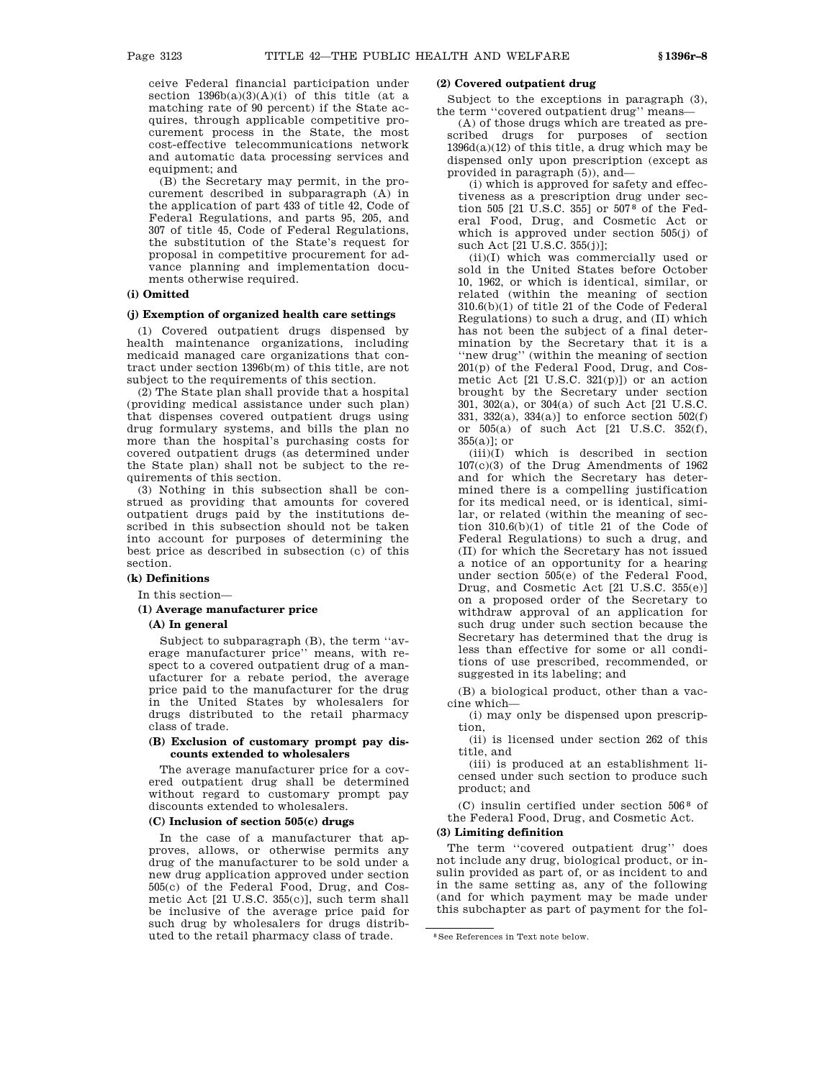ceive Federal financial participation under section  $1396b(a)(3)(A)(i)$  of this title (at a matching rate of 90 percent) if the State acquires, through applicable competitive procurement process in the State, the most cost-effective telecommunications network and automatic data processing services and equipment; and

(B) the Secretary may permit, in the procurement described in subparagraph (A) in the application of part 433 of title 42, Code of Federal Regulations, and parts 95, 205, and 307 of title 45, Code of Federal Regulations, the substitution of the State's request for proposal in competitive procurement for advance planning and implementation documents otherwise required.

## **(i) Omitted**

## **(j) Exemption of organized health care settings**

(1) Covered outpatient drugs dispensed by health maintenance organizations, including medicaid managed care organizations that contract under section 1396b(m) of this title, are not subject to the requirements of this section.

(2) The State plan shall provide that a hospital (providing medical assistance under such plan) that dispenses covered outpatient drugs using drug formulary systems, and bills the plan no more than the hospital's purchasing costs for covered outpatient drugs (as determined under the State plan) shall not be subject to the requirements of this section.

(3) Nothing in this subsection shall be construed as providing that amounts for covered outpatient drugs paid by the institutions described in this subsection should not be taken into account for purposes of determining the best price as described in subsection (c) of this section.

## **(k) Definitions**

In this section—

#### **(1) Average manufacturer price**

#### **(A) In general**

Subject to subparagraph (B), the term ''average manufacturer price'' means, with respect to a covered outpatient drug of a manufacturer for a rebate period, the average price paid to the manufacturer for the drug in the United States by wholesalers for drugs distributed to the retail pharmacy class of trade.

## **(B) Exclusion of customary prompt pay discounts extended to wholesalers**

The average manufacturer price for a covered outpatient drug shall be determined without regard to customary prompt pay discounts extended to wholesalers.

## **(C) Inclusion of section 505(c) drugs**

In the case of a manufacturer that approves, allows, or otherwise permits any drug of the manufacturer to be sold under a new drug application approved under section 505(c) of the Federal Food, Drug, and Cosmetic Act [21 U.S.C. 355(c)], such term shall be inclusive of the average price paid for such drug by wholesalers for drugs distributed to the retail pharmacy class of trade.

### **(2) Covered outpatient drug**

Subject to the exceptions in paragraph (3), the term ''covered outpatient drug'' means—

(A) of those drugs which are treated as prescribed drugs for purposes of section  $1396d(a)(12)$  of this title, a drug which may be dispensed only upon prescription (except as provided in paragraph (5)), and—

(i) which is approved for safety and effectiveness as a prescription drug under section 505 [21 U.S.C. 355] or 507 8 of the Federal Food, Drug, and Cosmetic Act or which is approved under section 505(j) of such Act [21 U.S.C. 355(j)];

(ii)(I) which was commercially used or sold in the United States before October 10, 1962, or which is identical, similar, or related (within the meaning of section 310.6(b)(1) of title 21 of the Code of Federal Regulations) to such a drug, and (II) which has not been the subject of a final determination by the Secretary that it is a ''new drug'' (within the meaning of section 201(p) of the Federal Food, Drug, and Cosmetic Act [21 U.S.C. 321(p)]) or an action brought by the Secretary under section 301, 302(a), or 304(a) of such Act [21 U.S.C. 331, 332(a), 334(a)] to enforce section 502(f) or 505(a) of such Act [21 U.S.C. 352(f), 355(a)]; or

(iii)(I) which is described in section 107(c)(3) of the Drug Amendments of 1962 and for which the Secretary has determined there is a compelling justification for its medical need, or is identical, similar, or related (within the meaning of section 310.6(b)(1) of title 21 of the Code of Federal Regulations) to such a drug, and (II) for which the Secretary has not issued a notice of an opportunity for a hearing under section 505(e) of the Federal Food, Drug, and Cosmetic Act [21 U.S.C. 355(e)] on a proposed order of the Secretary to withdraw approval of an application for such drug under such section because the Secretary has determined that the drug is less than effective for some or all conditions of use prescribed, recommended, or suggested in its labeling; and

(B) a biological product, other than a vaccine which—

(i) may only be dispensed upon prescription,

(ii) is licensed under section 262 of this title, and

(iii) is produced at an establishment licensed under such section to produce such product; and

(C) insulin certified under section  $506<sup>8</sup>$  of the Federal Food, Drug, and Cosmetic Act.

## **(3) Limiting definition**

The term ''covered outpatient drug'' does not include any drug, biological product, or insulin provided as part of, or as incident to and in the same setting as, any of the following (and for which payment may be made under this subchapter as part of payment for the fol-

8See References in Text note below.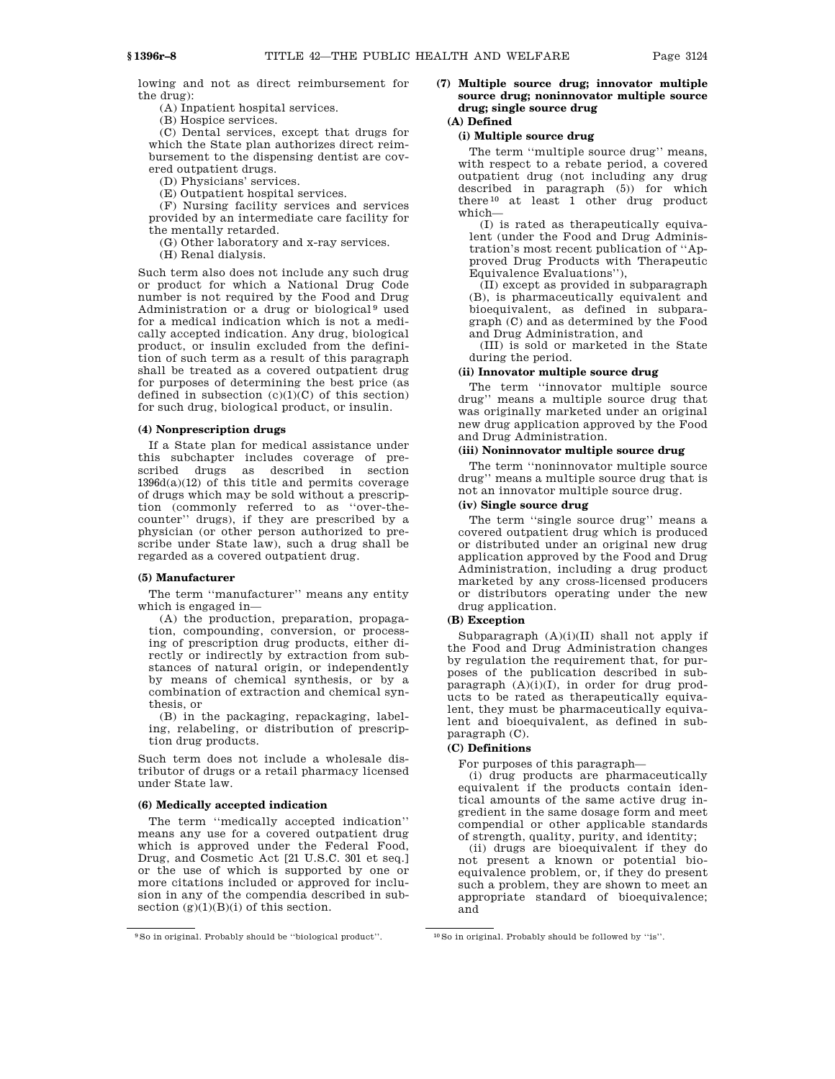lowing and not as direct reimbursement for the drug):

(A) Inpatient hospital services.

(B) Hospice services.

(C) Dental services, except that drugs for which the State plan authorizes direct reimbursement to the dispensing dentist are covered outpatient drugs.

(D) Physicians' services.

(E) Outpatient hospital services.

(F) Nursing facility services and services provided by an intermediate care facility for the mentally retarded.

(G) Other laboratory and x-ray services.

(H) Renal dialysis.

Such term also does not include any such drug or product for which a National Drug Code number is not required by the Food and Drug Administration or a drug or biological<sup>9</sup> used for a medical indication which is not a medically accepted indication. Any drug, biological product, or insulin excluded from the definition of such term as a result of this paragraph shall be treated as a covered outpatient drug for purposes of determining the best price (as defined in subsection  $(c)(1)(C)$  of this section) for such drug, biological product, or insulin.

### **(4) Nonprescription drugs**

If a State plan for medical assistance under this subchapter includes coverage of prescribed drugs as described in section 1396d(a)(12) of this title and permits coverage of drugs which may be sold without a prescription (commonly referred to as ''over-thecounter'' drugs), if they are prescribed by a physician (or other person authorized to prescribe under State law), such a drug shall be regarded as a covered outpatient drug.

#### **(5) Manufacturer**

The term ''manufacturer'' means any entity which is engaged in—

(A) the production, preparation, propagation, compounding, conversion, or processing of prescription drug products, either directly or indirectly by extraction from substances of natural origin, or independently by means of chemical synthesis, or by a combination of extraction and chemical synthesis, or

(B) in the packaging, repackaging, labeling, relabeling, or distribution of prescription drug products.

Such term does not include a wholesale distributor of drugs or a retail pharmacy licensed under State law.

#### **(6) Medically accepted indication**

The term ''medically accepted indication'' means any use for a covered outpatient drug which is approved under the Federal Food, Drug, and Cosmetic Act [21 U.S.C. 301 et seq.] or the use of which is supported by one or more citations included or approved for inclusion in any of the compendia described in subsection  $(g)(1)(B)(i)$  of this section.

## **(7) Multiple source drug; innovator multiple source drug; noninnovator multiple source drug; single source drug**

# **(A) Defined**

## **(i) Multiple source drug**

The term ''multiple source drug'' means, with respect to a rebate period, a covered outpatient drug (not including any drug described in paragraph (5)) for which there 10 at least 1 other drug product which—

(I) is rated as therapeutically equivalent (under the Food and Drug Administration's most recent publication of ''Approved Drug Products with Therapeutic Equivalence Evaluations''),

(II) except as provided in subparagraph (B), is pharmaceutically equivalent and bioequivalent, as defined in subparagraph (C) and as determined by the Food and Drug Administration, and

(III) is sold or marketed in the State during the period.

#### **(ii) Innovator multiple source drug**

The term ''innovator multiple source drug'' means a multiple source drug that was originally marketed under an original new drug application approved by the Food and Drug Administration.

## **(iii) Noninnovator multiple source drug**

The term ''noninnovator multiple source drug'' means a multiple source drug that is not an innovator multiple source drug.

#### **(iv) Single source drug**

The term ''single source drug'' means a covered outpatient drug which is produced or distributed under an original new drug application approved by the Food and Drug Administration, including a drug product marketed by any cross-licensed producers or distributors operating under the new drug application.

## **(B) Exception**

Subparagraph (A)(i)(II) shall not apply if the Food and Drug Administration changes by regulation the requirement that, for purposes of the publication described in subparagraph (A)(i)(I), in order for drug products to be rated as therapeutically equivalent, they must be pharmaceutically equivalent and bioequivalent, as defined in subparagraph (C).

#### **(C) Definitions**

For purposes of this paragraph—

(i) drug products are pharmaceutically equivalent if the products contain identical amounts of the same active drug ingredient in the same dosage form and meet compendial or other applicable standards of strength, quality, purity, and identity;

(ii) drugs are bioequivalent if they do not present a known or potential bioequivalence problem, or, if they do present such a problem, they are shown to meet an appropriate standard of bioequivalence; and

<sup>9</sup>So in original. Probably should be ''biological product''. 10So in original. Probably should be followed by ''is''.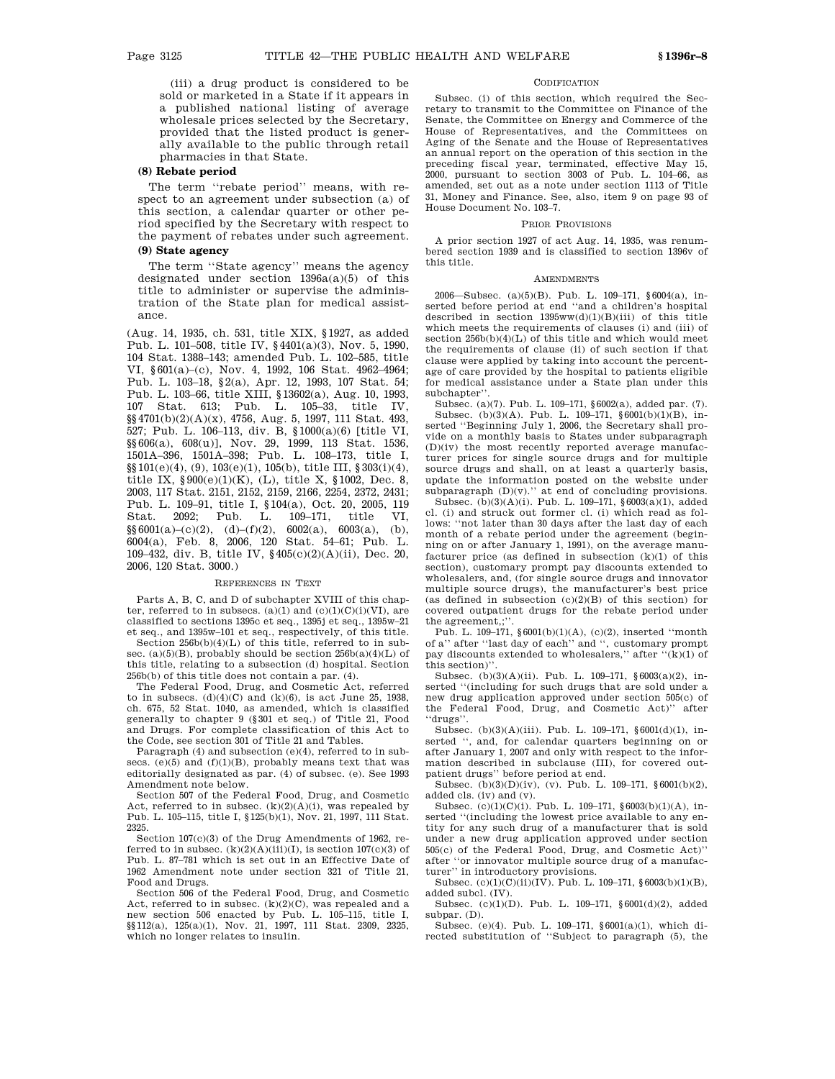(iii) a drug product is considered to be sold or marketed in a State if it appears in a published national listing of average wholesale prices selected by the Secretary, provided that the listed product is generally available to the public through retail pharmacies in that State.

#### **(8) Rebate period**

The term ''rebate period'' means, with respect to an agreement under subsection (a) of this section, a calendar quarter or other period specified by the Secretary with respect to the payment of rebates under such agreement.

# **(9) State agency**

The term ''State agency'' means the agency designated under section  $1396a(a)(5)$  of this title to administer or supervise the administration of the State plan for medical assistance.

(Aug. 14, 1935, ch. 531, title XIX, §1927, as added Pub. L. 101–508, title IV, §4401(a)(3), Nov. 5, 1990, 104 Stat. 1388–143; amended Pub. L. 102–585, title VI, §601(a)–(c), Nov. 4, 1992, 106 Stat. 4962–4964; Pub. L. 103–18, §2(a), Apr. 12, 1993, 107 Stat. 54; Pub. L. 103–66, title XIII, §13602(a), Aug. 10, 1993, 107 Stat. 613; Pub. L. 105–33, title IV, §§4701(b)(2)(A)(x), 4756, Aug. 5, 1997, 111 Stat. 493, 527; Pub. L. 106–113, div. B, §1000(a)(6) [title VI, §§606(a), 608(u)], Nov. 29, 1999, 113 Stat. 1536, 1501A–396, 1501A–398; Pub. L. 108–173, title I, §§101(e)(4), (9), 103(e)(1), 105(b), title III, §303(i)(4), title IX,  $$900(e)(1)(K)$ , (L), title X,  $$1002$ , Dec. 8, 2003, 117 Stat. 2151, 2152, 2159, 2166, 2254, 2372, 2431; Pub. L. 109–91, title I, §104(a), Oct. 20, 2005, 119 Stat. 2092; Pub. L. 109–171, title VI,  $\S\,6001(a)-(c)(2),\quad(d)-(f)(2),\quad6002(a),\quad6003(a),\quad(b),$ 6004(a), Feb. 8, 2006, 120 Stat. 54–61; Pub. L. 109–432, div. B, title IV, §405(c)(2)(A)(ii), Dec. 20, 2006, 120 Stat. 3000.)

## REFERENCES IN TEXT

Parts A, B, C, and D of subchapter XVIII of this chapter, referred to in subsecs.  $(a)(1)$  and  $(c)(1)(C)(i)(VI)$ , are classified to sections 1395c et seq., 1395j et seq., 1395w–21 et seq., and 1395w–101 et seq., respectively, of this title.

Section 256b(b)(4)(L) of this title, referred to in subsec.  $(a)(5)(B)$ , probably should be section  $256b(a)(4)(L)$  of this title, relating to a subsection (d) hospital. Section 256b(b) of this title does not contain a par. (4).

The Federal Food, Drug, and Cosmetic Act, referred to in subsecs.  $(d)(4)(C)$  and  $(k)(6)$ , is act June 25, 1938, ch. 675, 52 Stat. 1040, as amended, which is classified generally to chapter 9 (§301 et seq.) of Title 21, Food and Drugs. For complete classification of this Act to the Code, see section 301 of Title 21 and Tables.

Paragraph (4) and subsection (e)(4), referred to in subsecs.  $(e)(5)$  and  $(f)(1)(B)$ , probably means text that was editorially designated as par. (4) of subsec. (e). See 1993 Amendment note below.

Section 507 of the Federal Food, Drug, and Cosmetic Act, referred to in subsec.  $(k)(2)(A)(i)$ , was repealed by Pub. L. 105–115, title I, §125(b)(1), Nov. 21, 1997, 111 Stat. 2325.

Section 107(c)(3) of the Drug Amendments of 1962, referred to in subsec.  $(k)(2)(A)(iii)(I)$ , is section  $107(c)(3)$  of Pub. L. 87–781 which is set out in an Effective Date of 1962 Amendment note under section 321 of Title 21, Food and Drugs.

Section 506 of the Federal Food, Drug, and Cosmetic Act, referred to in subsec.  $(k)(2)(C)$ , was repealed and a new section 506 enacted by Pub. L. 105–115, title I, §§112(a), 125(a)(1), Nov. 21, 1997, 111 Stat. 2309, 2325, which no longer relates to insulin.

#### CODIFICATION

Subsec. (i) of this section, which required the Secretary to transmit to the Committee on Finance of the Senate, the Committee on Energy and Commerce of the House of Representatives, and the Committees on Aging of the Senate and the House of Representatives an annual report on the operation of this section in the preceding fiscal year, terminated, effective May 15, 2000, pursuant to section 3003 of Pub. L. 104–66, as amended, set out as a note under section 1113 of Title 31, Money and Finance. See, also, item 9 on page 93 of House Document No. 103–7.

#### PRIOR PROVISIONS

A prior section 1927 of act Aug. 14, 1935, was renumbered section 1939 and is classified to section 1396v of this title.

#### AMENDMENTS

2006—Subsec. (a)(5)(B). Pub. L. 109–171, §6004(a), inserted before period at end ''and a children's hospital described in section  $1395ww(d)(1)(B)(iii)$  of this title which meets the requirements of clauses (i) and (iii) of section  $256b(b)(4)(L)$  of this title and which would meet the requirements of clause (ii) of such section if that clause were applied by taking into account the percentage of care provided by the hospital to patients eligible for medical assistance under a State plan under this subchapter".

Subsec. (a)(7). Pub. L. 109–171, §6002(a), added par. (7). Subsec. (b)(3)(A). Pub. L. 109–171,  $\frac{6001(b)(1)(B)}{1}$ , inserted ''Beginning July 1, 2006, the Secretary shall provide on a monthly basis to States under subparagraph (D)(iv) the most recently reported average manufacturer prices for single source drugs and for multiple source drugs and shall, on at least a quarterly basis, update the information posted on the website under

subparagraph  $(D)(v)$ ." at end of concluding provisions.<br>Subsec.  $(b)(3)(A)(i)$ . Pub. L. 109–171, §6003(a)(1), added cl. (i) and struck out former cl. (i) which read as follows: ''not later than 30 days after the last day of each month of a rebate period under the agreement (beginning on or after January 1, 1991), on the average manufacturer price (as defined in subsection  $(k)(1)$  of this section), customary prompt pay discounts extended to wholesalers, and, (for single source drugs and innovator multiple source drugs), the manufacturer's best price (as defined in subsection  $(c)(2)(B)$  of this section) for covered outpatient drugs for the rebate period under the agreement,;'

Pub. L. 109–171, §6001(b)(1)(A), (c)(2), inserted ''month of a'' after ''last day of each'' and '', customary prompt pay discounts extended to wholesalers," after  $"(k)(1)$  of this section)''.

Subsec. (b)(3)(A)(ii). Pub. L. 109-171, §6003(a)(2), inserted ''(including for such drugs that are sold under a new drug application approved under section 505(c) of the Federal Food, Drug, and Cosmetic Act)'' after ''drugs''.

Subsec. (b)(3)(A)(iii). Pub. L. 109–171, §6001(d)(1), inserted '', and, for calendar quarters beginning on or after January 1, 2007 and only with respect to the information described in subclause (III), for covered outpatient drugs'' before period at end.

Subsec.  $(b)(3)(D)(iv)$ , (v). Pub. L. 109-171, §6001(b)(2), added cls. (iv) and (v).

Subsec. (c)(1)(C)(i). Pub. L. 109-171,  $\S 6003(b)(1)(A)$ , inserted "(including the lowest price available to any entity for any such drug of a manufacturer that is sold under a new drug application approved under section 505(c) of the Federal Food, Drug, and Cosmetic Act)'' after ''or innovator multiple source drug of a manufacturer'' in introductory provisions.

Subsec. (c)(1)(C)(ii)(IV). Pub. L. 109–171,  $\delta$ 6003(b)(1)(B), added subcl. (IV).

Subsec. (c)(1)(D). Pub. L. 109-171,  $\delta$ 6001(d)(2), added subpar. (D).

Subsec. (e)(4). Pub. L. 109–171, §6001(a)(1), which directed substitution of ''Subject to paragraph (5), the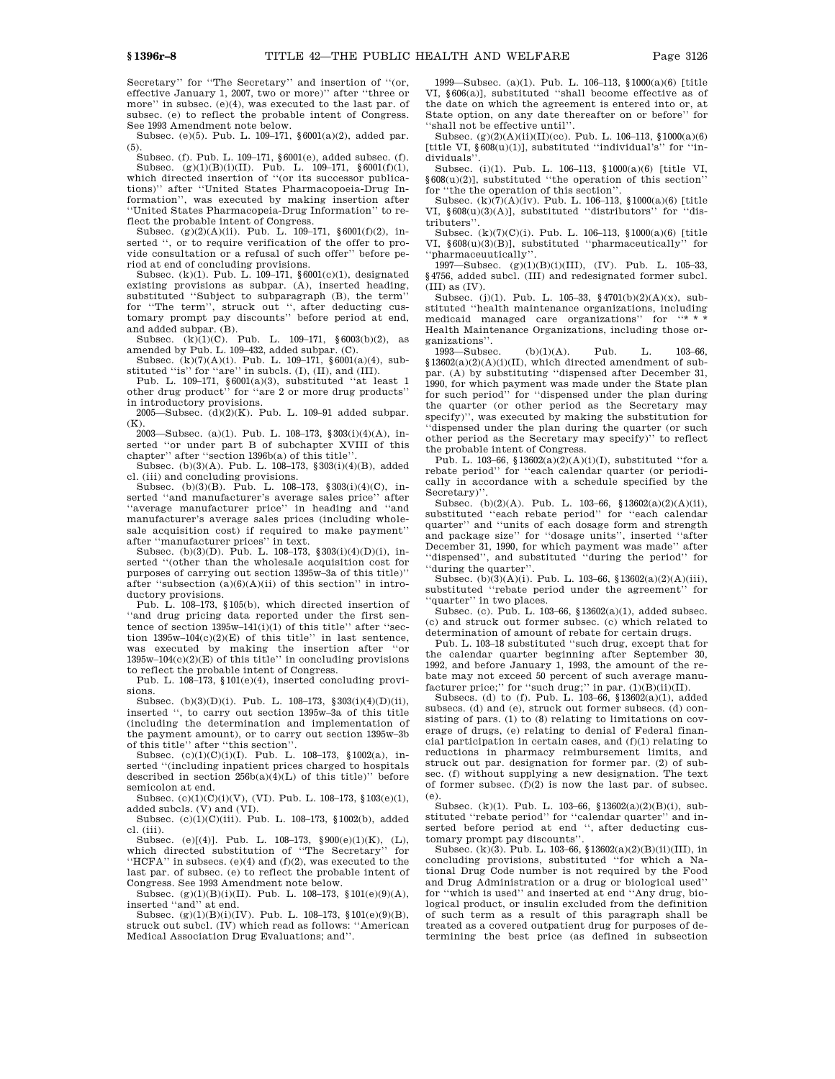Secretary'' for ''The Secretary'' and insertion of ''(or, effective January 1, 2007, two or more)'' after ''three or more'' in subsec. (e)(4), was executed to the last par. of subsec. (e) to reflect the probable intent of Congress. See 1993 Amendment note below.

Subsec. (e)(5). Pub. L. 109–171, §6001(a)(2), added par. (5).

Subsec. (f). Pub. L. 109–171, §6001(e), added subsec. (f). Subsec. (g)(1)(B)(i)(II). Pub. L. 109–171, §6001(f)(1), which directed insertion of ''(or its successor publications)'' after ''United States Pharmacopoeia-Drug Information'', was executed by making insertion after ''United States Pharmacopeia-Drug Information'' to reflect the probable intent of Congress.

Subsec. (g)(2)(A)(ii). Pub. L. 109–171, §6001(f)(2), inserted '', or to require verification of the offer to provide consultation or a refusal of such offer'' before period at end of concluding provisions.

Subsec. (k)(1). Pub. L. 109–171,  $\frac{6001(c)}{1}$ , designated existing provisions as subpar. (A), inserted heading, substituted ''Subject to subparagraph (B), the term'' for ''The term'', struck out '', after deducting customary prompt pay discounts'' before period at end, and added subpar. (B). Subsec. (k)(1)(C). Pub. L. 109–171, §6003(b)(2), as

amended by Pub. L. 109–432, added subpar. (C).

Subsec.  $(k)(7)(A)(i)$ . Pub. L. 109-171, §6001(a)(4), substituted "is" for "are" in subcls. (I), (II), and (III).

Pub. L. 109–171,  $\S 6001(a)(3)$ , substituted "at least 1 other drug product'' for ''are 2 or more drug products'' in introductory provisions. 2005—Subsec. (d)(2)(K). Pub. L. 109–91 added subpar.

 $(K)$ 

2003—Subsec. (a)(1). Pub. L. 108–173, §303(i)(4)(A), inserted ''or under part B of subchapter XVIII of this chapter'' after ''section 1396b(a) of this title''.

Subsec. (b)(3)(A). Pub. L. 108–173, §303(i)(4)(B), added cl. (iii) and concluding provisions.

Subsec. (b)(3)(B). Pub. L. 108–173, §303(i)(4)(C), inserted ''and manufacturer's average sales price'' after ''average manufacturer price'' in heading and ''and manufacturer's average sales prices (including wholesale acquisition cost) if required to make payment''

after ''manufacturer prices'' in text. Subsec. (b)(3)(D). Pub. L. 108–173, §303(i)(4)(D)(i), inserted ''(other than the wholesale acquisition cost for purposes of carrying out section 1395w–3a of this title)'' after "subsection  $(a)(6)(A)(ii)$  of this section" in intro-

ductory provisions. Pub. L. 108–173, §105(b), which directed insertion of ''and drug pricing data reported under the first sentence of section 1395w–141(i)(1) of this title'' after ''section  $1395w-104(c)(2)(E)$  of this title" in last sentence, was executed by making the insertion after ''or  $1395w-104(c)(2)(E)$  of this title" in concluding provisions

to reflect the probable intent of Congress. Pub. L. 108–173, §101(e)(4), inserted concluding provisions.

Subsec. (b)(3)(D)(i). Pub. L. 108–173, §303(i)(4)(D)(ii), inserted '', to carry out section 1395w–3a of this title (including the determination and implementation of the payment amount), or to carry out section 1395w–3b of this title'' after ''this section''.

Subsec.  $(c)(1)(C)(i)(I)$ . Pub. L. 108–173, §1002(a), inserted ''(including inpatient prices charged to hospitals described in section  $256b(a)(4)(L)$  of this title)" before semicolon at end.

Subsec. (c)(1)(C)(i)(V), (VI). Pub. L. 108–173, §103(e)(1), added subcls. (V) and (VI).

Subsec. (c)(1)(C)(iii). Pub. L. 108–173, §1002(b), added cl. (iii).

Subsec. (e)[(4)]. Pub. L. 108-173,  $$900(e)(1)(K)$ , (L), which directed substitution of ''The Secretary'' for "HCFA" in subsecs.  $(e)(4)$  and  $(f)(2)$ , was executed to the last par. of subsec. (e) to reflect the probable intent of Congress. See 1993 Amendment note below.

Subsec. (g)(1)(B)(i)(II). Pub. L. 108–173, §101(e)(9)(A), inserted ''and'' at end.

Subsec. (g)(1)(B)(i)(IV). Pub. L. 108–173, §101(e)(9)(B), struck out subcl. (IV) which read as follows: ''American Medical Association Drug Evaluations; and''.

1999—Subsec. (a)(1). Pub. L. 106–113, §1000(a)(6) [title VI, §606(a)], substituted ''shall become effective as of the date on which the agreement is entered into or, at State option, on any date thereafter on or before'' for ''shall not be effective until''.

Subsec. (g)(2)(A)(ii)(II)(cc). Pub. L. 106-113, §1000(a)(6) [title VI,  $\S 608(u)(1)$ ], substituted "individual's" for "individuals''.

Subsec. (i)(1). Pub. L. 106–113, §1000(a)(6) [title VI, §608(u)(2)], substituted ''the operation of this section'' for ''the the operation of this section''.

Subsec. (k)(7)(A)(iv). Pub. L. 106–113, §1000(a)(6) [title VI, §608(u)(3)(A)], substituted ''distributors'' for ''distributers''.

Subsec. (k)(7)(C)(i). Pub. L. 106–113,  $\set{1000(a)(6)}$  [title VI, §608(u)(3)(B)], substituted ''pharmaceutically'' for ''pharmaceuutically''.

1997—Subsec. (g)(1)(B)(i)(III), (IV). Pub. L. 105–33, §4756, added subcl. (III) and redesignated former subcl.  $\rm (III)$  as  $\rm (IV).$ 

Subsec. (j)(1). Pub. L. 105–33,  $\frac{2701(b)(2)(A)(x)}{b}$ , substituted ''health maintenance organizations, including medicaid managed care organizations" for "\*\*\* Health Maintenance Organizations, including those organizations''.

1993—Subsec. (b)(1)(A). Pub. L. 103–66, §13602(a)(2)(A)(i)(II), which directed amendment of subpar. (A) by substituting ''dispensed after December 31, 1990, for which payment was made under the State plan for such period'' for ''dispensed under the plan during the quarter (or other period as the Secretary may specify)'', was executed by making the substitution for ''dispensed under the plan during the quarter (or such other period as the Secretary may specify)'' to reflect the probable intent of Congress.

Pub. L. 103–66, §13602(a)(2)(A)(i)(I), substituted "for a rebate period'' for ''each calendar quarter (or periodically in accordance with a schedule specified by the Secretary)''.

Subsec. (b)(2)(A). Pub. L. 103–66, §13602(a)(2)(A)(ii), substituted ''each rebate period'' for ''each calendar quarter'' and ''units of each dosage form and strength and package size'' for ''dosage units'', inserted ''after December 31, 1990, for which payment was made'' after ''dispensed'', and substituted ''during the period'' for ''during the quarter''.

Subsec. (b)(3)(A)(i). Pub. L. 103–66, §13602(a)(2)(A)(iii), substituted ''rebate period under the agreement'' for 'quarter'' in two places.

Subsec. (c). Pub. L. 103–66, §13602(a)(1), added subsec. (c) and struck out former subsec. (c) which related to determination of amount of rebate for certain drugs.

Pub. L. 103–18 substituted ''such drug, except that for the calendar quarter beginning after September 30, 1992, and before January 1, 1993, the amount of the rebate may not exceed 50 percent of such average manu-

facturer price;" for "such drug;" in par.  $(1)(B)(ii)(II)$ .<br>Subsecs. (d) to (f). Pub. L. 103–66, §13602(a)(1), added subsecs. (d) and (e), struck out former subsecs. (d) consisting of pars. (1) to (8) relating to limitations on coverage of drugs, (e) relating to denial of Federal financial participation in certain cases, and (f)(1) relating to reductions in pharmacy reimbursement limits, and struck out par. designation for former par. (2) of subsec. (f) without supplying a new designation. The text of former subsec.  $(f)(2)$  is now the last par. of subsec. (e).

Subsec. (k)(1). Pub. L. 103–66, §13602(a)(2)(B)(i), substituted "rebate period" for "calendar quarter" and inserted before period at end '', after deducting customary prompt pay discounts''.

Subsec. (k)(3). Pub. L. 103–66, §13602(a)(2)(B)(ii)(III), in concluding provisions, substituted ''for which a National Drug Code number is not required by the Food and Drug Administration or a drug or biological used'' for ''which is used'' and inserted at end ''Any drug, biological product, or insulin excluded from the definition of such term as a result of this paragraph shall be treated as a covered outpatient drug for purposes of determining the best price (as defined in subsection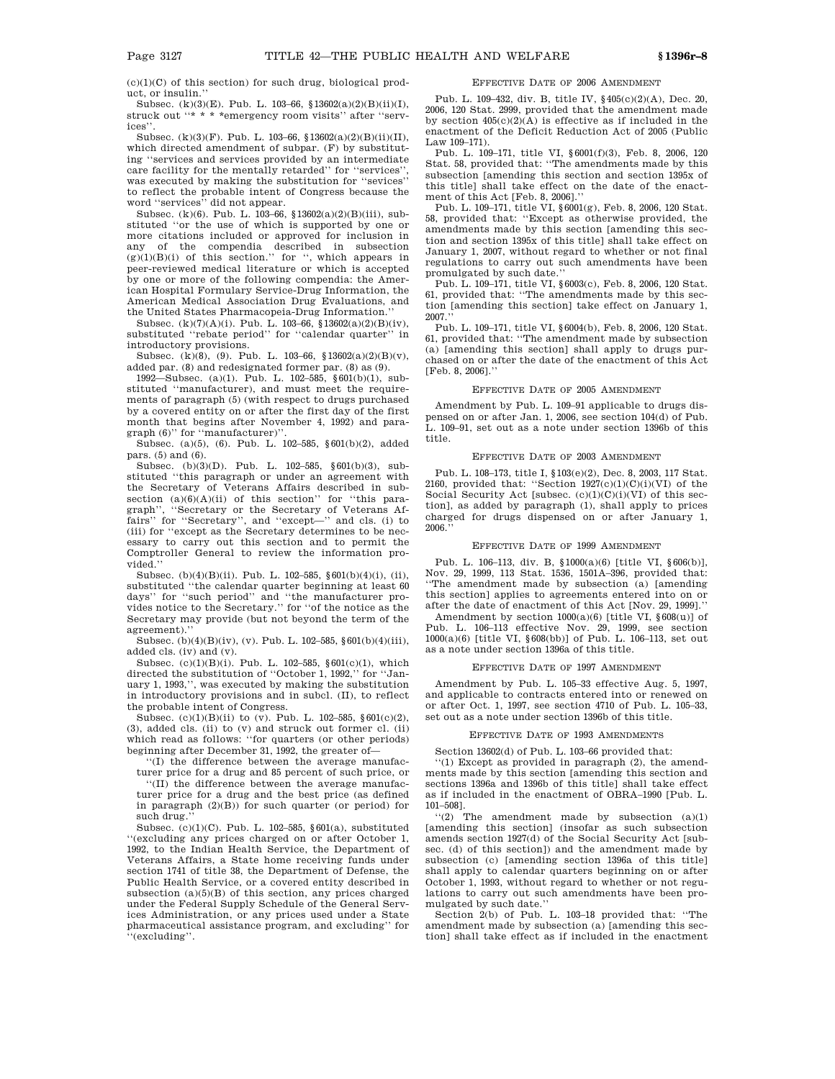$(c)(1)(C)$  of this section) for such drug, biological product, or insulin.''

Subsec. (k)(3)(E). Pub. L. 103–66, §13602(a)(2)(B)(ii)(I), struck out ''\* \* \* \*emergency room visits'' after ''services''.

Subsec. (k)(3)(F). Pub. L. 103–66, §13602(a)(2)(B)(ii)(II), which directed amendment of subpar. (F) by substituting ''services and services provided by an intermediate care facility for the mentally retarded" for "services" was executed by making the substitution for ''sevices'' to reflect the probable intent of Congress because the word ''services'' did not appear.

Subsec. (k)(6). Pub. L. 103–66, §13602(a)(2)(B)(iii), substituted ''or the use of which is supported by one or more citations included or approved for inclusion in any of the compendia described in subsection  $(g)(1)(B)(i)$  of this section." for ", which appears in peer-reviewed medical literature or which is accepted by one or more of the following compendia: the American Hospital Formulary Service-Drug Information, the American Medical Association Drug Evaluations, and the United States Pharmacopeia-Drug Information.''

Subsec. (k)(7)(A)(i). Pub. L. 103–66, §13602(a)(2)(B)(iv), substituted ''rebate period'' for ''calendar quarter'' in introductory provisions.

Subsec. (k)(8), (9). Pub. L. 103–66, §13602(a)(2)(B)(v), added par. (8) and redesignated former par. (8) as (9).

1992—Subsec. (a)(1). Pub. L. 102–585, §601(b)(1), substituted ''manufacturer), and must meet the requirements of paragraph (5) (with respect to drugs purchased by a covered entity on or after the first day of the first month that begins after November 4, 1992) and paragraph (6)'' for ''manufacturer)''.

Subsec. (a)(5), (6). Pub. L. 102–585, §601(b)(2), added pars. (5) and (6).

Subsec. (b)(3)(D). Pub. L. 102–585, §601(b)(3), substituted ''this paragraph or under an agreement with the Secretary of Veterans Affairs described in subsection  $(a)(6)(A)(ii)$  of this section" for "this paragraph'', ''Secretary or the Secretary of Veterans Affairs'' for ''Secretary'', and ''except—'' and cls. (i) to (iii) for ''except as the Secretary determines to be necessary to carry out this section and to permit the Comptroller General to review the information provided.''

Subsec. (b)(4)(B)(ii). Pub. L. 102–585, §601(b)(4)(i), (ii), substituted ''the calendar quarter beginning at least 60 days'' for ''such period'' and ''the manufacturer provides notice to the Secretary.'' for ''of the notice as the Secretary may provide (but not beyond the term of the agreement).''

Subsec. (b)(4)(B)(iv), (v). Pub. L. 102–585,  $§ 601(b)(4)(iii)$ , added cls. (iv) and (v).

Subsec.  $(c)(1)(B)(i)$ . Pub. L. 102–585, §601(c)(1), which directed the substitution of "October 1, 1992," for "January 1, 1993,'', was executed by making the substitution in introductory provisions and in subcl. (II), to reflect the probable intent of Congress.

Subsec. (c)(1)(B)(ii) to (v). Pub. L. 102–585, §601(c)(2), (3), added cls. (ii) to (v) and struck out former cl. (ii) which read as follows: ''for quarters (or other periods) beginning after December 31, 1992, the greater of—

''(I) the difference between the average manufacturer price for a drug and 85 percent of such price, or

''(II) the difference between the average manufacturer price for a drug and the best price (as defined in paragraph (2)(B)) for such quarter (or period) for such drug.

Subsec. (c)(1)(C). Pub. L. 102–585, §601(a), substituted ''(excluding any prices charged on or after October 1, 1992, to the Indian Health Service, the Department of Veterans Affairs, a State home receiving funds under section 1741 of title 38, the Department of Defense, the Public Health Service, or a covered entity described in subsection (a)(5)(B) of this section, any prices charged under the Federal Supply Schedule of the General Services Administration, or any prices used under a State pharmaceutical assistance program, and excluding'' for ''(excluding''.

### EFFECTIVE DATE OF 2006 AMENDMENT

Pub. L. 109–432, div. B, title IV, §405(c)(2)(A), Dec. 20, 2006, 120 Stat. 2999, provided that the amendment made by section  $405(c)(2)(A)$  is effective as if included in the enactment of the Deficit Reduction Act of 2005 (Public Law 109–171).

Pub. L. 109–171, title VI, §6001(f)(3), Feb. 8, 2006, 120 Stat. 58, provided that: ''The amendments made by this subsection [amending this section and section 1395x of this title] shall take effect on the date of the enactment of this Act [Feb. 8, 2006].''

Pub. L. 109–171, title VI, §6001(g), Feb. 8, 2006, 120 Stat. 58, provided that: ''Except as otherwise provided, the amendments made by this section [amending this section and section 1395x of this title] shall take effect on January 1, 2007, without regard to whether or not final regulations to carry out such amendments have been promulgated by such date.''

Pub. L. 109–171, title VI, §6003(c), Feb. 8, 2006, 120 Stat. 61, provided that: ''The amendments made by this section [amending this section] take effect on January 1, 2007.

Pub. L. 109–171, title VI, §6004(b), Feb. 8, 2006, 120 Stat. 61, provided that: ''The amendment made by subsection (a) [amending this section] shall apply to drugs purchased on or after the date of the enactment of this Act [Feb. 8, 2006].''

#### EFFECTIVE DATE OF 2005 AMENDMENT

Amendment by Pub. L. 109–91 applicable to drugs dispensed on or after Jan. 1, 2006, see section 104(d) of Pub. L. 109–91, set out as a note under section 1396b of this title.

### EFFECTIVE DATE OF 2003 AMENDMENT

Pub. L. 108–173, title I, §103(e)(2), Dec. 8, 2003, 117 Stat. 2160, provided that: ''Section 1927(c)(1)(C)(i)(VI) of the Social Security Act [subsec.  $(c)(1)(C)(i)(VI)$  of this section], as added by paragraph (1), shall apply to prices charged for drugs dispensed on or after January 1, 2006.''

#### EFFECTIVE DATE OF 1999 AMENDMENT

Pub. L. 106–113, div. B, §1000(a)(6) [title VI, §606(b)], Nov. 29, 1999, 113 Stat. 1536, 1501A–396, provided that: ''The amendment made by subsection (a) [amending this section] applies to agreements entered into on or after the date of enactment of this Act [Nov. 29, 1999].''

Amendment by section  $1000(a)(6)$  [title VI, §608(u)] of Pub. L. 106–113 effective Nov. 29, 1999, see section 1000(a)(6) [title VI, §608(bb)] of Pub. L. 106–113, set out as a note under section 1396a of this title.

#### EFFECTIVE DATE OF 1997 AMENDMENT

Amendment by Pub. L. 105–33 effective Aug. 5, 1997, and applicable to contracts entered into or renewed on or after Oct. 1, 1997, see section 4710 of Pub. L. 105–33, set out as a note under section 1396b of this title.

#### EFFECTIVE DATE OF 1993 AMENDMENTS

Section 13602(d) of Pub. L. 103–66 provided that:

''(1) Except as provided in paragraph (2), the amendments made by this section [amending this section and sections 1396a and 1396b of this title] shall take effect as if included in the enactment of OBRA–1990 [Pub. L. 101–508].

''(2) The amendment made by subsection (a)(1) [amending this section] (insofar as such subsection amends section 1927(d) of the Social Security Act [subsec. (d) of this section]) and the amendment made by subsection (c) [amending section 1396a of this title] shall apply to calendar quarters beginning on or after October 1, 1993, without regard to whether or not regulations to carry out such amendments have been promulgated by such date.''

Section 2(b) of Pub. L. 103–18 provided that: ''The amendment made by subsection (a) [amending this section] shall take effect as if included in the enactment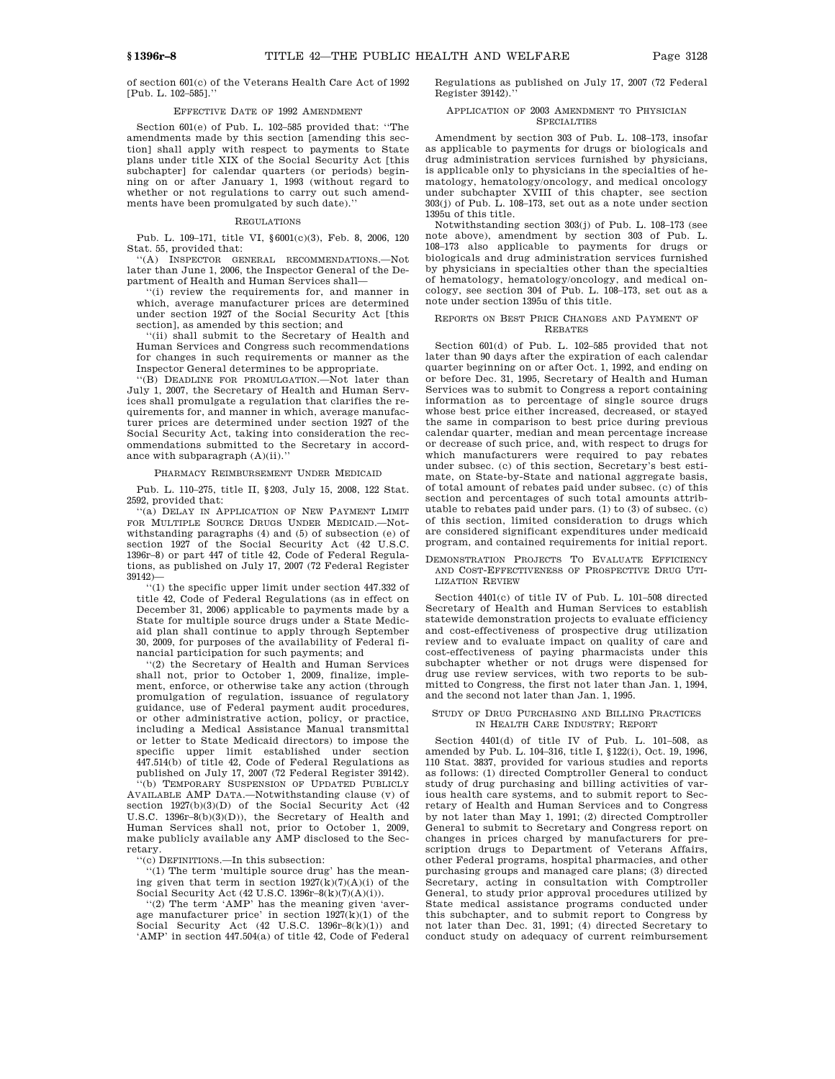of section 601(c) of the Veterans Health Care Act of 1992 [Pub. L. 102–585].''

## EFFECTIVE DATE OF 1992 AMENDMENT

Section 601(e) of Pub. L. 102–585 provided that: ''The amendments made by this section [amending this section] shall apply with respect to payments to State plans under title XIX of the Social Security Act [this subchapter] for calendar quarters (or periods) beginning on or after January 1, 1993 (without regard to whether or not regulations to carry out such amendments have been promulgated by such date).''

### REGULATIONS

Pub. L. 109–171, title VI, §6001(c)(3), Feb. 8, 2006, 120 Stat. 55, provided that:

'(A) INSPECTOR GENERAL RECOMMENDATIONS.-Not later than June 1, 2006, the Inspector General of the Department of Health and Human Services shall—

''(i) review the requirements for, and manner in which, average manufacturer prices are determined under section 1927 of the Social Security Act [this section], as amended by this section; and

''(ii) shall submit to the Secretary of Health and Human Services and Congress such recommendations for changes in such requirements or manner as the Inspector General determines to be appropriate.

''(B) DEADLINE FOR PROMULGATION.—Not later than July 1, 2007, the Secretary of Health and Human Services shall promulgate a regulation that clarifies the requirements for, and manner in which, average manufacturer prices are determined under section 1927 of the Social Security Act, taking into consideration the recommendations submitted to the Secretary in accordance with subparagraph (A)(ii).''

#### PHARMACY REIMBURSEMENT UNDER MEDICAID

Pub. L. 110–275, title II, §203, July 15, 2008, 122 Stat. 2592, provided that:

''(a) DELAY IN APPLICATION OF NEW PAYMENT LIMIT FOR MULTIPLE SOURCE DRUGS UNDER MEDICAID.—Notwithstanding paragraphs (4) and (5) of subsection (e) of section 1927 of the Social Security Act (42 U.S.C. 1396r–8) or part 447 of title 42, Code of Federal Regulations, as published on July 17, 2007 (72 Federal Register 39142)—

 $\lq\lq(1)$  the specific upper limit under section  $447.332$  of title 42, Code of Federal Regulations (as in effect on December 31, 2006) applicable to payments made by a State for multiple source drugs under a State Medicaid plan shall continue to apply through September 30, 2009, for purposes of the availability of Federal financial participation for such payments; and

''(2) the Secretary of Health and Human Services shall not, prior to October 1, 2009, finalize, implement, enforce, or otherwise take any action (through promulgation of regulation, issuance of regulatory guidance, use of Federal payment audit procedures, or other administrative action, policy, or practice, including a Medical Assistance Manual transmittal or letter to State Medicaid directors) to impose the specific upper limit established under section 447.514(b) of title 42, Code of Federal Regulations as published on July 17, 2007 (72 Federal Register 39142).

'(b) TEMPORARY SUSPENSION OF UPDATED PUBLICLY AVAILABLE AMP DATA.—Notwithstanding clause (v) of section 1927(b)(3)(D) of the Social Security Act (42 U.S.C. 1396r–8(b)(3)(D)), the Secretary of Health and Human Services shall not, prior to October 1, 2009, make publicly available any AMP disclosed to the Secretary.

'(c) DEFINITIONS.—In this subsection:

''(1) The term 'multiple source drug' has the meaning given that term in section  $1927(k)(7)(A)(i)$  of the Social Security Act (42 U.S.C.  $1396r-8(k)(7)(A)(i)$ ).

''(2) The term 'AMP' has the meaning given 'average manufacturer price' in section 1927(k)(1) of the Social Security Act  $(42 \text{ U.S.C. } 1396r-8(k)(1))$  and 'AMP' in section 447.504(a) of title 42, Code of Federal Regulations as published on July 17, 2007 (72 Federal Register 39142).

### APPLICATION OF 2003 AMENDMENT TO PHYSICIAN **SPECIALTIES**

Amendment by section 303 of Pub. L. 108–173, insofar as applicable to payments for drugs or biologicals and drug administration services furnished by physicians, is applicable only to physicians in the specialties of hematology, hematology/oncology, and medical oncology under subchapter XVIII of this chapter, see section 303(j) of Pub. L. 108–173, set out as a note under section 1395u of this title.

Notwithstanding section 303(j) of Pub. L. 108–173 (see note above), amendment by section 303 of Pub. L. 108–173 also applicable to payments for drugs or biologicals and drug administration services furnished by physicians in specialties other than the specialties of hematology, hematology/oncology, and medical oncology, see section 304 of Pub. L. 108–173, set out as a note under section 1395u of this title.

#### REPORTS ON BEST PRICE CHANGES AND PAYMENT OF REBATES

Section 601(d) of Pub. L. 102–585 provided that not later than 90 days after the expiration of each calendar quarter beginning on or after Oct. 1, 1992, and ending on or before Dec. 31, 1995, Secretary of Health and Human Services was to submit to Congress a report containing information as to percentage of single source drugs whose best price either increased, decreased, or stayed the same in comparison to best price during previous calendar quarter, median and mean percentage increase or decrease of such price, and, with respect to drugs for which manufacturers were required to pay rebates under subsec. (c) of this section, Secretary's best estimate, on State-by-State and national aggregate basis, of total amount of rebates paid under subsec. (c) of this section and percentages of such total amounts attributable to rebates paid under pars. (1) to (3) of subsec. (c) of this section, limited consideration to drugs which are considered significant expenditures under medicaid program, and contained requirements for initial report.

DEMONSTRATION PROJECTS TO EVALUATE EFFICIENCY AND COST-EFFECTIVENESS OF PROSPECTIVE DRUG UTI-LIZATION REVIEW

Section 4401(c) of title IV of Pub. L. 101–508 directed Secretary of Health and Human Services to establish statewide demonstration projects to evaluate efficiency and cost-effectiveness of prospective drug utilization review and to evaluate impact on quality of care and cost-effectiveness of paying pharmacists under this subchapter whether or not drugs were dispensed for drug use review services, with two reports to be submitted to Congress, the first not later than Jan. 1, 1994, and the second not later than Jan. 1, 1995.

#### STUDY OF DRUG PURCHASING AND BILLING PRACTICES IN HEALTH CARE INDUSTRY; REPORT

Section 4401(d) of title IV of Pub. L. 101–508, as amended by Pub. L. 104–316, title I, §122(i), Oct. 19, 1996, 110 Stat. 3837, provided for various studies and reports as follows: (1) directed Comptroller General to conduct study of drug purchasing and billing activities of various health care systems, and to submit report to Secretary of Health and Human Services and to Congress by not later than May 1, 1991; (2) directed Comptroller General to submit to Secretary and Congress report on changes in prices charged by manufacturers for prescription drugs to Department of Veterans Affairs, other Federal programs, hospital pharmacies, and other purchasing groups and managed care plans; (3) directed Secretary, acting in consultation with Comptroller General, to study prior approval procedures utilized by State medical assistance programs conducted under this subchapter, and to submit report to Congress by not later than Dec. 31, 1991; (4) directed Secretary to conduct study on adequacy of current reimbursement